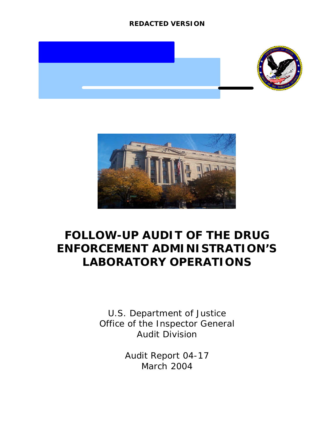



## **FOLLOW-UP AUDIT OF THE DRUG ENFORCEMENT ADMINISTRATION'S LABORATORY OPERATIONS**

U.S. Department of Justice Office of the Inspector General Audit Division

> Audit Report 04-17 March 2004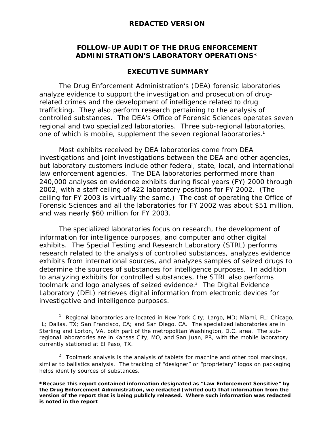### **FOLLOW-UP AUDIT OF THE DRUG ENFORCEMENT ADMINISTRATION'S LABORATORY OPERATIONS\***

### **EXECUTIVE SUMMARY**

The Drug Enforcement Administration's (DEA) forensic laboratories analyze evidence to support the investigation and prosecution of drugrelated crimes and the development of intelligence related to drug trafficking. They also perform research pertaining to the analysis of controlled substances. The DEA's Office of Forensic Sciences operates seven regional and two specialized laboratories. Three sub-regional laboratories, one of which is mobile, supplement the seven regional laboratories.<sup>1</sup>

Most exhibits received by DEA laboratories come from DEA investigations and joint investigations between the DEA and other agencies, but laboratory customers include other federal, state, local, and international law enforcement agencies. The DEA laboratories performed more than 240,000 analyses on evidence exhibits during fiscal years (FY) 2000 through 2002, with a staff ceiling of 422 laboratory positions for FY 2002. (The ceiling for FY 2003 is virtually the same.) The cost of operating the Office of Forensic Sciences and all the laboratories for FY 2002 was about \$51 million, and was nearly \$60 million for FY 2003.

The specialized laboratories focus on research, the development of information for intelligence purposes, and computer and other digital exhibits. The Special Testing and Research Laboratory (STRL) performs research related to the analysis of controlled substances, analyzes evidence exhibits from international sources, and analyzes samples of seized drugs to determine the sources of substances for intelligence purposes. In addition to analyzing exhibits for controlled substances, the STRL also performs toolmark and logo analyses of seized evidence.<sup>2</sup> The Digital Evidence Laboratory (DEL) retrieves digital information from electronic devices for investigative and intelligence purposes.

 $\overline{a}$ 

<sup>&</sup>lt;sup>1</sup> Regional laboratories are located in New York City; Largo, MD; Miami, FL; Chicago, IL; Dallas, TX; San Francisco, CA; and San Diego, CA. The specialized laboratories are in Sterling and Lorton, VA, both part of the metropolitan Washington, D.C. area. The subregional laboratories are in Kansas City, MO, and San Juan, PR, with the mobile laboratory currently stationed at El Paso, TX.

<sup>&</sup>lt;sup>2</sup> Toolmark analysis is the analysis of tablets for machine and other tool markings, similar to ballistics analysis. The tracking of "designer" or "proprietary" logos on packaging helps identify sources of substances.

**<sup>\*</sup>Because this report contained information designated as "Law Enforcement Sensitive" by the Drug Enforcement Administration, we redacted (whited out) that information from the version of the report that is being publicly released. Where such information was redacted is noted in the report**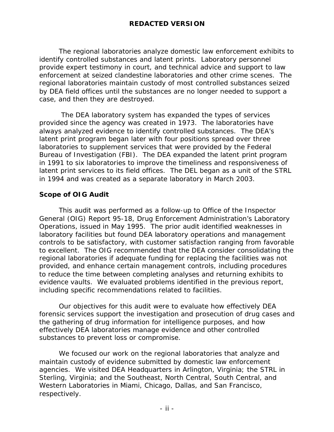The regional laboratories analyze domestic law enforcement exhibits to identify controlled substances and latent prints. Laboratory personnel provide expert testimony in court, and technical advice and support to law enforcement at seized clandestine laboratories and other crime scenes. The regional laboratories maintain custody of most controlled substances seized by DEA field offices until the substances are no longer needed to support a case, and then they are destroyed.

 The DEA laboratory system has expanded the types of services provided since the agency was created in 1973. The laboratories have always analyzed evidence to identify controlled substances. The DEA's latent print program began later with four positions spread over three laboratories to supplement services that were provided by the Federal Bureau of Investigation (FBI). The DEA expanded the latent print program in 1991 to six laboratories to improve the timeliness and responsiveness of latent print services to its field offices. The DEL began as a unit of the STRL in 1994 and was created as a separate laboratory in March 2003.

### **Scope of OIG Audit**

This audit was performed as a follow-up to Office of the Inspector General (OIG) Report 95-18, *Drug Enforcement Administration's Laboratory Operations,* issued in May 1995. The prior audit identified weaknesses in laboratory facilities but found DEA laboratory operations and management controls to be satisfactory, with customer satisfaction ranging from favorable to excellent. The OIG recommended that the DEA consider consolidating the regional laboratories if adequate funding for replacing the facilities was not provided, and enhance certain management controls, including procedures to reduce the time between completing analyses and returning exhibits to evidence vaults. We evaluated problems identified in the previous report, including specific recommendations related to facilities.

Our objectives for this audit were to evaluate how effectively DEA forensic services support the investigation and prosecution of drug cases and the gathering of drug information for intelligence purposes, and how effectively DEA laboratories manage evidence and other controlled substances to prevent loss or compromise.

We focused our work on the regional laboratories that analyze and maintain custody of evidence submitted by domestic law enforcement agencies. We visited DEA Headquarters in Arlington, Virginia; the STRL in Sterling, Virginia; and the Southeast, North Central, South Central, and Western Laboratories in Miami, Chicago, Dallas, and San Francisco, respectively.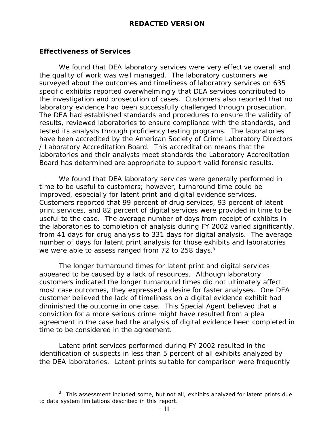### **Effectiveness of Services**

 $\overline{a}$ 

We found that DEA laboratory services were very effective overall and the quality of work was well managed. The laboratory customers we surveyed about the outcomes and timeliness of laboratory services on 635 specific exhibits reported overwhelmingly that DEA services contributed to the investigation and prosecution of cases. Customers also reported that no laboratory evidence had been successfully challenged through prosecution. The DEA had established standards and procedures to ensure the validity of results, reviewed laboratories to ensure compliance with the standards, and tested its analysts through proficiency testing programs. The laboratories have been accredited by the American Society of Crime Laboratory Directors / Laboratory Accreditation Board. This accreditation means that the laboratories and their analysts meet standards the Laboratory Accreditation Board has determined are appropriate to support valid forensic results.

We found that DEA laboratory services were generally performed in time to be useful to customers; however, turnaround time could be improved, especially for latent print and digital evidence services. Customers reported that 99 percent of drug services, 93 percent of latent print services, and 82 percent of digital services were provided in time to be useful to the case. The average number of days from receipt of exhibits in the laboratories to completion of analysis during FY 2002 varied significantly, from 41 days for drug analysis to 331 days for digital analysis. The average number of days for latent print analysis for those exhibits and laboratories we were able to assess ranged from 72 to 258 days. $3$ 

The longer turnaround times for latent print and digital services appeared to be caused by a lack of resources. Although laboratory customers indicated the longer turnaround times did not ultimately affect most case outcomes, they expressed a desire for faster analyses. One DEA customer believed the lack of timeliness on a digital evidence exhibit had diminished the outcome in one case. This Special Agent believed that a conviction for a more serious crime might have resulted from a plea agreement in the case had the analysis of digital evidence been completed in time to be considered in the agreement.

Latent print services performed during FY 2002 resulted in the identification of suspects in less than 5 percent of all exhibits analyzed by the DEA laboratories. Latent prints suitable for comparison were frequently

 $3$  This assessment included some, but not all, exhibits analyzed for latent prints due to data system limitations described in this report.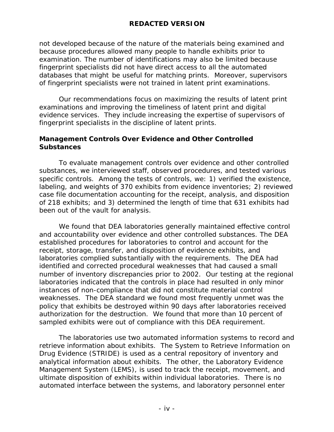not developed because of the nature of the materials being examined and because procedures allowed many people to handle exhibits prior to examination. The number of identifications may also be limited because fingerprint specialists did not have direct access to all the automated databases that might be useful for matching prints. Moreover, supervisors of fingerprint specialists were not trained in latent print examinations.

Our recommendations focus on maximizing the results of latent print examinations and improving the timeliness of latent print and digital evidence services. They include increasing the expertise of supervisors of fingerprint specialists in the discipline of latent prints.

### **Management Controls Over Evidence and Other Controlled Substances**

To evaluate management controls over evidence and other controlled substances, we interviewed staff, observed procedures, and tested various specific controls. Among the tests of controls, we: 1) verified the existence, labeling, and weights of 370 exhibits from evidence inventories; 2) reviewed case file documentation accounting for the receipt, analysis, and disposition of 218 exhibits; and 3) determined the length of time that 631 exhibits had been out of the vault for analysis.

We found that DEA laboratories generally maintained effective control and accountability over evidence and other controlled substances. The DEA established procedures for laboratories to control and account for the receipt, storage, transfer, and disposition of evidence exhibits, and laboratories complied substantially with the requirements. The DEA had identified and corrected procedural weaknesses that had caused a small number of inventory discrepancies prior to 2002. Our testing at the regional laboratories indicated that the controls in place had resulted in only minor instances of non-compliance that did not constitute material control weaknesses. The DEA standard we found most frequently unmet was the policy that exhibits be destroyed within 90 days after laboratories received authorization for the destruction. We found that more than 10 percent of sampled exhibits were out of compliance with this DEA requirement.

The laboratories use two automated information systems to record and retrieve information about exhibits. The System to Retrieve Information on Drug Evidence (STRIDE) is used as a central repository of inventory and analytical information about exhibits. The other, the Laboratory Evidence Management System (LEMS), is used to track the receipt, movement, and ultimate disposition of exhibits within individual laboratories. There is no automated interface between the systems, and laboratory personnel enter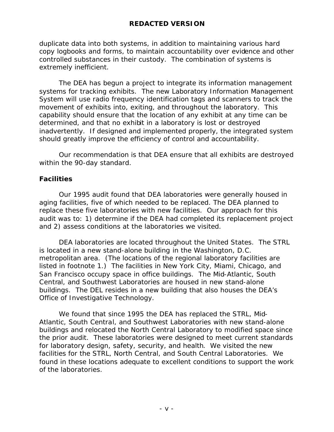duplicate data into both systems, in addition to maintaining various hard copy logbooks and forms, to maintain accountability over evidence and other controlled substances in their custody. The combination of systems is extremely inefficient.

The DEA has begun a project to integrate its information management systems for tracking exhibits. The new Laboratory Information Management System will use radio frequency identification tags and scanners to track the movement of exhibits into, exiting, and throughout the laboratory. This capability should ensure that the location of any exhibit at any time can be determined, and that no exhibit in a laboratory is lost or destroyed inadvertently. If designed and implemented properly, the integrated system should greatly improve the efficiency of control and accountability.

Our recommendation is that DEA ensure that all exhibits are destroyed within the 90-day standard.

### **Facilities**

Our 1995 audit found that DEA laboratories were generally housed in aging facilities, five of which needed to be replaced. The DEA planned to replace these five laboratories with new facilities. Our approach for this audit was to: 1) determine if the DEA had completed its replacement project and 2) assess conditions at the laboratories we visited.

DEA laboratories are located throughout the United States. The STRL is located in a new stand-alone building in the Washington, D.C. metropolitan area. (The locations of the regional laboratory facilities are listed in footnote 1.) The facilities in New York City, Miami, Chicago, and San Francisco occupy space in office buildings. The Mid-Atlantic, South Central, and Southwest Laboratories are housed in new stand-alone buildings. The DEL resides in a new building that also houses the DEA's Office of Investigative Technology.

We found that since 1995 the DEA has replaced the STRL, Mid-Atlantic, South Central, and Southwest Laboratories with new stand-alone buildings and relocated the North Central Laboratory to modified space since the prior audit. These laboratories were designed to meet current standards for laboratory design, safety, security, and health. We visited the new facilities for the STRL, North Central, and South Central Laboratories. We found in these locations adequate to excellent conditions to support the work of the laboratories.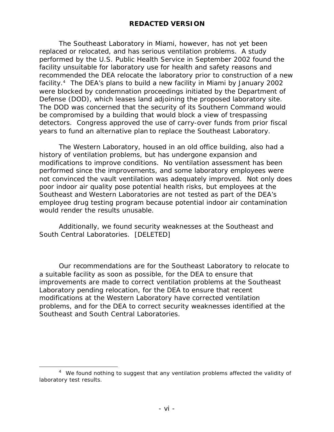The Southeast Laboratory in Miami, however, has not yet been replaced or relocated, and has serious ventilation problems. A study performed by the U.S. Public Health Service in September 2002 found the facility unsuitable for laboratory use for health and safety reasons and recommended the DEA relocate the laboratory prior to construction of a new facility.<sup>4</sup> The DEA's plans to build a new facility in Miami by January 2002 were blocked by condemnation proceedings initiated by the Department of Defense (DOD), which leases land adjoining the proposed laboratory site. The DOD was concerned that the security of its Southern Command would be compromised by a building that would block a view of trespassing detectors. Congress approved the use of carry-over funds from prior fiscal years to fund an alternative plan to replace the Southeast Laboratory.

The Western Laboratory, housed in an old office building, also had a history of ventilation problems, but has undergone expansion and modifications to improve conditions. No ventilation assessment has been performed since the improvements, and some laboratory employees were not convinced the vault ventilation was adequately improved. Not only does poor indoor air quality pose potential health risks, but employees at the Southeast and Western Laboratories are not tested as part of the DEA's employee drug testing program because potential indoor air contamination would render the results unusable.

Additionally, we found security weaknesses at the Southeast and South Central Laboratories. [DELETED]

Our recommendations are for the Southeast Laboratory to relocate to a suitable facility as soon as possible, for the DEA to ensure that improvements are made to correct ventilation problems at the Southeast Laboratory pending relocation, for the DEA to ensure that recent modifications at the Western Laboratory have corrected ventilation problems, and for the DEA to correct security weaknesses identified at the Southeast and South Central Laboratories.

 $\overline{a}$ 

<sup>&</sup>lt;sup>4</sup> We found nothing to suggest that any ventilation problems affected the validity of laboratory test results.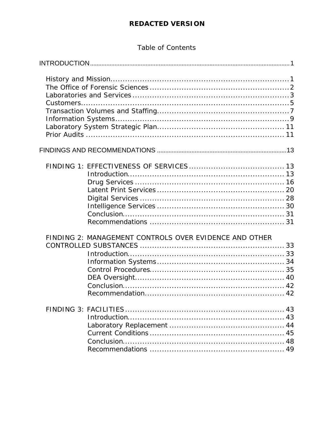### Table of Contents

| FINDING 2: MANAGEMENT CONTROLS OVER EVIDENCE AND OTHER |
|--------------------------------------------------------|
|                                                        |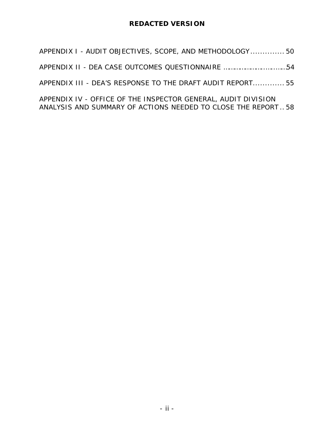| APPENDIX I - AUDIT OBJECTIVES, SCOPE, AND METHODOLOGY 50      |  |
|---------------------------------------------------------------|--|
|                                                               |  |
| APPENDIX III - DEA'S RESPONSE TO THE DRAFT AUDIT REPORT 55    |  |
| APPENDIX IV - OFFICE OF THE INSPECTOR GENERAL, AUDIT DIVISION |  |

ANALYSIS AND SUMMARY OF ACTIONS NEEDED TO CLOSE THE REPORT .. 58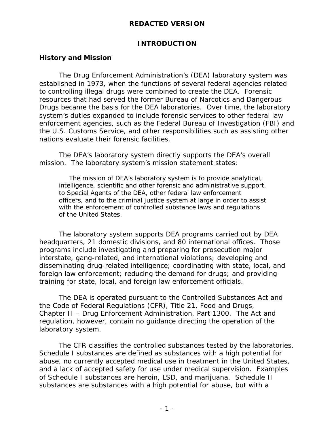### **INTRODUCTION**

### **History and Mission**

The Drug Enforcement Administration's (DEA) laboratory system was established in 1973, when the functions of several federal agencies related to controlling illegal drugs were combined to create the DEA. Forensic resources that had served the former Bureau of Narcotics and Dangerous Drugs became the basis for the DEA laboratories. Over time, the laboratory system's duties expanded to include forensic services to other federal law enforcement agencies, such as the Federal Bureau of Investigation (FBI) and the U.S. Customs Service, and other responsibilities such as assisting other nations evaluate their forensic facilities.

The DEA's laboratory system directly supports the DEA's overall mission. The laboratory system's mission statement states:

 *The mission of DEA's laboratory system is to provide analytical, intelligence, scientific and other forensic and administrative support, to Special Agents of the DEA, other federal law enforcement officers, and to the criminal justice system at large in order to assist with the enforcement of controlled substance laws and regulations of the United States.*

The laboratory system supports DEA programs carried out by DEA headquarters, 21 domestic divisions, and 80 international offices. Those programs include investigating and preparing for prosecution major interstate, gang-related, and international violations; developing and disseminating drug-related intelligence; coordinating with state, local, and foreign law enforcement; reducing the demand for drugs; and providing training for state, local, and foreign law enforcement officials.

The DEA is operated pursuant to the Controlled Substances Act and the Code of Federal Regulations (CFR), Title 21, Food and Drugs, Chapter II – Drug Enforcement Administration, Part 1300. The Act and regulation, however, contain no guidance directing the operation of the laboratory system.

The CFR classifies the controlled substances tested by the laboratories. Schedule I substances are defined as substances with a high potential for abuse, no currently accepted medical use in treatment in the United States, and a lack of accepted safety for use under medical supervision. Examples of Schedule I substances are heroin, LSD, and marijuana. Schedule II substances are substances with a high potential for abuse, but with a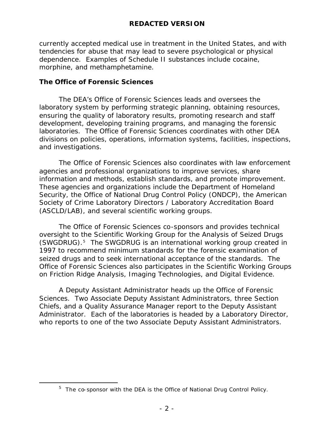currently accepted medical use in treatment in the United States, and with tendencies for abuse that may lead to severe psychological or physical dependence. Examples of Schedule II substances include cocaine, morphine, and methamphetamine.

### **The Office of Forensic Sciences**

 $\overline{a}$ 

The DEA's Office of Forensic Sciences leads and oversees the laboratory system by performing strategic planning, obtaining resources, ensuring the quality of laboratory results, promoting research and staff development, developing training programs, and managing the forensic laboratories. The Office of Forensic Sciences coordinates with other DEA divisions on policies, operations, information systems, facilities, inspections, and investigations.

The Office of Forensic Sciences also coordinates with law enforcement agencies and professional organizations to improve services, share information and methods, establish standards, and promote improvement. These agencies and organizations include the Department of Homeland Security, the Office of National Drug Control Policy (ONDCP), the American Society of Crime Laboratory Directors / Laboratory Accreditation Board (ASCLD/LAB), and several scientific working groups.

The Office of Forensic Sciences co-sponsors and provides technical oversight to the Scientific Working Group for the Analysis of Seized Drugs (SWGDRUG).<sup>5</sup> The SWGDRUG is an international working group created in 1997 to recommend minimum standards for the forensic examination of seized drugs and to seek international acceptance of the standards. The Office of Forensic Sciences also participates in the Scientific Working Groups on Friction Ridge Analysis, Imaging Technologies, and Digital Evidence.

A Deputy Assistant Administrator heads up the Office of Forensic Sciences. Two Associate Deputy Assistant Administrators, three Section Chiefs, and a Quality Assurance Manager report to the Deputy Assistant Administrator. Each of the laboratories is headed by a Laboratory Director, who reports to one of the two Associate Deputy Assistant Administrators.

<sup>&</sup>lt;sup>5</sup> The co-sponsor with the DEA is the Office of National Drug Control Policy.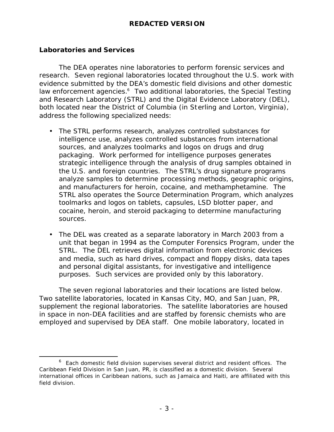### **Laboratories and Services**

The DEA operates nine laboratories to perform forensic services and research. Seven regional laboratories located throughout the U.S. work with evidence submitted by the DEA's domestic field divisions and other domestic law enforcement agencies.<sup>6</sup> Two additional laboratories, the Special Testing and Research Laboratory (STRL) and the Digital Evidence Laboratory (DEL), both located near the District of Columbia (in Sterling and Lorton, Virginia), address the following specialized needs:

- The STRL performs research, analyzes controlled substances for intelligence use, analyzes controlled substances from international sources, and analyzes toolmarks and logos on drugs and drug packaging. Work performed for intelligence purposes generates strategic intelligence through the analysis of drug samples obtained in the U.S. and foreign countries. The STRL's drug signature programs analyze samples to determine processing methods, geographic origins, and manufacturers for heroin, cocaine, and methamphetamine. The STRL also operates the Source Determination Program, which analyzes toolmarks and logos on tablets, capsules, LSD blotter paper, and cocaine, heroin, and steroid packaging to determine manufacturing sources.
- The DEL was created as a separate laboratory in March 2003 from a unit that began in 1994 as the Computer Forensics Program, under the STRL. The DEL retrieves digital information from electronic devices and media, such as hard drives, compact and floppy disks, data tapes and personal digital assistants, for investigative and intelligence purposes. Such services are provided only by this laboratory.

The seven regional laboratories and their locations are listed below. Two satellite laboratories, located in Kansas City, MO, and San Juan, PR, supplement the regional laboratories. The satellite laboratories are housed in space in non-DEA facilities and are staffed by forensic chemists who are employed and supervised by DEA staff. One mobile laboratory, located in

 $\overline{a}$  $6$  Each domestic field division supervises several district and resident offices. The Caribbean Field Division in San Juan, PR, is classified as a domestic division. Several international offices in Caribbean nations, such as Jamaica and Haiti, are affiliated with this field division.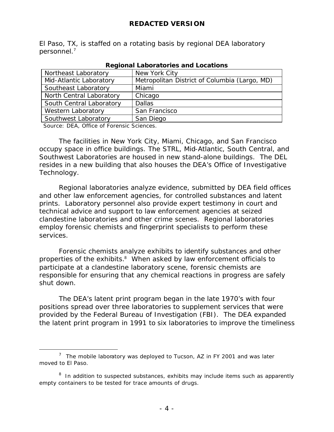El Paso, TX, is staffed on a rotating basis by regional DEA laboratory personnel.<sup>7</sup>

| Northeast Laboratory      | New York City                                 |
|---------------------------|-----------------------------------------------|
| Mid-Atlantic Laboratory   | Metropolitan District of Columbia (Largo, MD) |
| Southeast Laboratory      | Miami                                         |
| North Central Laboratory  | Chicago                                       |
| South Central Laboratory  | <b>Dallas</b>                                 |
| <b>Western Laboratory</b> | San Francisco                                 |
| Southwest Laboratory      | San Diego                                     |

*Regional Laboratories and Locations*

Source: DEA, Office of Forensic Sciences.

 $\overline{a}$ 

The facilities in New York City, Miami, Chicago, and San Francisco occupy space in office buildings. The STRL, Mid-Atlantic, South Central, and Southwest Laboratories are housed in new stand-alone buildings. The DEL resides in a new building that also houses the DEA's Office of Investigative Technology.

Regional laboratories analyze evidence, submitted by DEA field offices and other law enforcement agencies, for controlled substances and latent prints. Laboratory personnel also provide expert testimony in court and technical advice and support to law enforcement agencies at seized clandestine laboratories and other crime scenes. Regional laboratories employ forensic chemists and fingerprint specialists to perform these services.

Forensic chemists analyze exhibits to identify substances and other properties of the exhibits.<sup>8</sup> When asked by law enforcement officials to participate at a clandestine laboratory scene, forensic chemists are responsible for ensuring that any chemical reactions in progress are safely shut down.

The DEA's latent print program began in the late 1970's with four positions spread over three laboratories to supplement services that were provided by the Federal Bureau of Investigation (FBI). The DEA expanded the latent print program in 1991 to six laboratories to improve the timeliness

<sup>&</sup>lt;sup>7</sup> The mobile laboratory was deployed to Tucson, AZ in FY 2001 and was later moved to El Paso.

<sup>&</sup>lt;sup>8</sup> In addition to suspected substances, exhibits may include items such as apparently empty containers to be tested for trace amounts of drugs.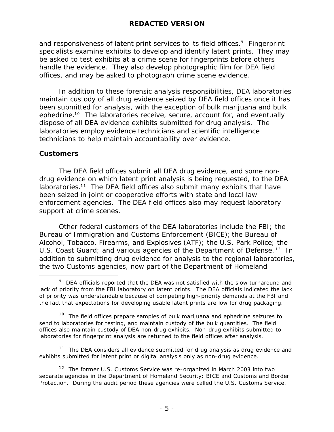and responsiveness of latent print services to its field offices.<sup>9</sup> Fingerprint specialists examine exhibits to develop and identify latent prints. They may be asked to test exhibits at a crime scene for fingerprints before others handle the evidence. They also develop photographic film for DEA field offices, and may be asked to photograph crime scene evidence.

In addition to these forensic analysis responsibilities, DEA laboratories maintain custody of all drug evidence seized by DEA field offices once it has been submitted for analysis, with the exception of bulk marijuana and bulk ephedrine.<sup>10</sup> The laboratories receive, secure, account for, and eventually dispose of all DEA evidence exhibits submitted for drug analysis. The laboratories employ evidence technicians and scientific intelligence technicians to help maintain accountability over evidence.

### **Customers**

 $\overline{a}$ 

The DEA field offices submit all DEA drug evidence, and some nondrug evidence on which latent print analysis is being requested, to the DEA laboratories.<sup>11</sup> The DEA field offices also submit many exhibits that have been seized in joint or cooperative efforts with state and local law enforcement agencies. The DEA field offices also may request laboratory support at crime scenes.

Other federal customers of the DEA laboratories include the FBI; the Bureau of Immigration and Customs Enforcement (BICE); the Bureau of Alcohol, Tobacco, Firearms, and Explosives (ATF); the U.S. Park Police; the U.S. Coast Guard; and various agencies of the Department of Defense.<sup>12</sup> In addition to submitting drug evidence for analysis to the regional laboratories, the two Customs agencies, now part of the Department of Homeland

 $11$  The DEA considers all evidence submitted for drug analysis as drug evidence and exhibits submitted for latent print or digital analysis only as non-drug evidence.

 $9$  DEA officials reported that the DEA was not satisfied with the slow turnaround and lack of priority from the FBI laboratory on latent prints. The DEA officials indicated the lack of priority was understandable because of competing high-priority demands at the FBI and the fact that expectations for developing usable latent prints are low for drug packaging.

 $10$  The field offices prepare samples of bulk marijuana and ephedrine seizures to send to laboratories for testing, and maintain custody of the bulk quantities. The field offices also maintain custody of DEA non-drug exhibits. Non-drug exhibits submitted to laboratories for fingerprint analysis are returned to the field offices after analysis.

 $12$  The former U.S. Customs Service was re-organized in March 2003 into two separate agencies in the Department of Homeland Security: BICE and Customs and Border Protection. During the audit period these agencies were called the U.S. Customs Service.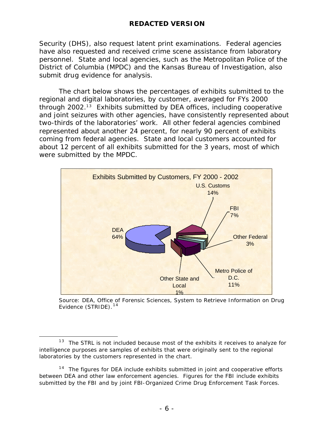Security (DHS), also request latent print examinations. Federal agencies have also requested and received crime scene assistance from laboratory personnel. State and local agencies, such as the Metropolitan Police of the District of Columbia (MPDC) and the Kansas Bureau of Investigation, also submit drug evidence for analysis.

The chart below shows the percentages of exhibits submitted to the regional and digital laboratories, by customer, averaged for FYs 2000 through  $2002<sup>13</sup>$  Exhibits submitted by DEA offices, including cooperative and joint seizures with other agencies, have consistently represented about two-thirds of the laboratories' work. All other federal agencies combined represented about another 24 percent, for nearly 90 percent of exhibits coming from federal agencies. State and local customers accounted for about 12 percent of all exhibits submitted for the 3 years, most of which were submitted by the MPDC.



Source: DEA, Office of Forensic Sciences, System to Retrieve Information on Drug Evidence (STRIDE).<sup>14</sup>

 $\overline{a}$  $13$  The STRL is not included because most of the exhibits it receives to analyze for intelligence purposes are samples of exhibits that were originally sent to the regional laboratories by the customers represented in the chart.

 $14$  The figures for DEA include exhibits submitted in joint and cooperative efforts between DEA and other law enforcement agencies. Figures for the FBI include exhibits submitted by the FBI and by joint FBI-Organized Crime Drug Enforcement Task Forces.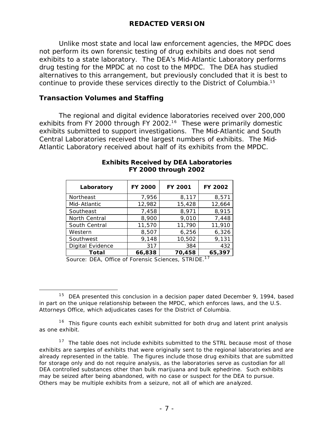Unlike most state and local law enforcement agencies, the MPDC does not perform its own forensic testing of drug exhibits and does not send exhibits to a state laboratory. The DEA's Mid-Atlantic Laboratory performs drug testing for the MPDC at no cost to the MPDC. The DEA has studied alternatives to this arrangement, but previously concluded that it is best to continue to provide these services directly to the District of Columbia.<sup>15</sup>

### **Transaction Volumes and Staffing**

The regional and digital evidence laboratories received over 200,000 exhibits from FY 2000 through FY 2002.<sup>16</sup> These were primarily domestic exhibits submitted to support investigations. The Mid-Atlantic and South Central Laboratories received the largest numbers of exhibits. The Mid-Atlantic Laboratory received about half of its exhibits from the MPDC.

| Laboratory              | <b>FY 2000</b> | FY 2001 | FY 2002 |
|-------------------------|----------------|---------|---------|
| Northeast               | 7,956          | 8,117   | 8,571   |
| Mid-Atlantic            | 12,982         | 15,428  | 12,664  |
| Southeast               | 7,458          | 8,971   | 8,915   |
| North Central           | 8,900          | 9,010   | 7,448   |
| South Central           | 11,570         | 11,790  | 11,910  |
| Western                 | 8,507          | 6,256   | 6,326   |
| Southwest               | 9,148          | 10,502  | 9,131   |
| <b>Digital Evidence</b> | 317            | 384     | 432     |
| Total                   | 66,838         | 70,458  | 65,397  |

### *Exhibits Received by DEA Laboratories FY 2000 through 2002*

Source: DEA, Office of Forensic Sciences, STRIDE.<sup>17</sup>

 $\overline{a}$  $15$  DEA presented this conclusion in a decision paper dated December 9, 1994, based in part on the unique relationship between the MPDC, which enforces laws, and the U.S. Attorneys Office, which adjudicates cases for the District of Columbia.

 $16$  This figure counts each exhibit submitted for both drug and latent print analysis as one exhibit.

 $17$  The table does not include exhibits submitted to the STRL because most of those exhibits are samples of exhibits that were originally sent to the regional laboratories and are already represented in the table. The figures include those drug exhibits that are submitted for storage only and do not require analysis, as the laboratories serve as custodian for all DEA controlled substances other than bulk marijuana and bulk ephedrine. Such exhibits may be seized after being abandoned, with no case or suspect for the DEA to pursue. Others may be multiple exhibits from a seizure, not all of which are analyzed.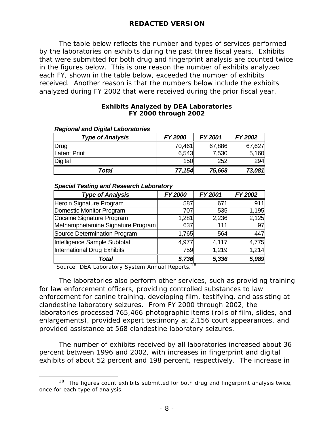The table below reflects the number and types of services performed by the laboratories on exhibits during the past three fiscal years. Exhibits that were submitted for both drug and fingerprint analysis are counted twice in the figures below. This is one reason the number of exhibits analyzed each FY, shown in the table below, exceeded the number of exhibits received. Another reason is that the numbers below include the exhibits analyzed during FY 2002 that were received during the prior fiscal year.

### *Exhibits Analyzed by DEA Laboratories FY 2000 through 2002*

| 100                     |         |         |         |
|-------------------------|---------|---------|---------|
| <b>Type of Analysis</b> | FY 2000 | FY 2001 | FY 2002 |
| Drug                    | 70,461  | 67,886  | 67,627  |
| <b>Latent Print</b>     | 6,543   | 7,530   | 5,160   |
| Digital                 | 150     | 252     | 294     |
| Total                   | 77,154  | 75,668  | 73,081  |

### *Regional and Digital Laboratories*

### *Special Testing and Research Laboratory*

| <b>Type of Analysis</b>           | FY 2000 | FY 2001 | FY 2002 |
|-----------------------------------|---------|---------|---------|
| Heroin Signature Program          | 587     | 671     | 911     |
| Domestic Monitor Program          | 707     | 535     | 1,195   |
| Cocaine Signature Program         | 1,281   | 2,236   | 2,125   |
| Methamphetamine Signature Program | 637     | 111     | 97      |
| Source Determination Program      | 1,765   | 564     | 447     |
| Intelligence Sample Subtotal      | 4,977   | 4,117   | 4,775   |
| International Drug Exhibits       | 759     | 1,219   | 1,214   |
| Total                             | 5,736   | 5,336   | 5,989   |

Source: DEA Laboratory System Annual Reports.<sup>18</sup>

 $\overline{a}$ 

The laboratories also perform other services, such as providing training for law enforcement officers, providing controlled substances to law enforcement for canine training, developing film, testifying, and assisting at clandestine laboratory seizures. From FY 2000 through 2002, the laboratories processed 765,466 photographic items (rolls of film, slides, and enlargements), provided expert testimony at 2,156 court appearances, and provided assistance at 568 clandestine laboratory seizures.

The number of exhibits received by all laboratories increased about 36 percent between 1996 and 2002, with increases in fingerprint and digital exhibits of about 52 percent and 198 percent, respectively. The increase in

 $18$  The figures count exhibits submitted for both drug and fingerprint analysis twice, once for each type of analysis.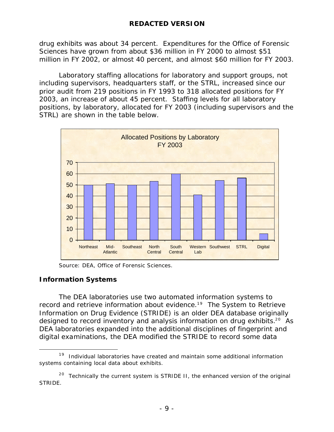drug exhibits was about 34 percent. Expenditures for the Office of Forensic Sciences have grown from about \$36 million in FY 2000 to almost \$51 million in FY 2002, or almost 40 percent, and almost \$60 million for FY 2003.

Laboratory staffing allocations for laboratory and support groups, not including supervisors, headquarters staff, or the STRL, increased since our prior audit from 219 positions in FY 1993 to 318 allocated positions for FY 2003, an increase of about 45 percent. Staffing levels for all laboratory positions, by laboratory, allocated for FY 2003 (including supervisors and the STRL) are shown in the table below.



Source: DEA, Office of Forensic Sciences.

### **Information Systems**

 $\overline{a}$ 

The DEA laboratories use two automated information systems to record and retrieve information about evidence.<sup>19</sup> The System to Retrieve Information on Drug Evidence (STRIDE) is an older DEA database originally designed to record inventory and analysis information on drug exhibits.<sup>20</sup> As DEA laboratories expanded into the additional disciplines of fingerprint and digital examinations, the DEA modified the STRIDE to record some data

 $19$  Individual laboratories have created and maintain some additional information systems containing local data about exhibits.

 $20$  Technically the current system is STRIDE II, the enhanced version of the original STRIDE.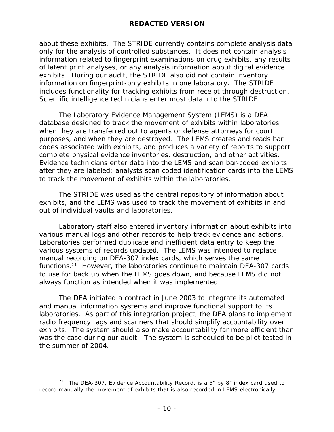about these exhibits. The STRIDE currently contains complete analysis data only for the analysis of controlled substances. It does not contain analysis information related to fingerprint examinations on drug exhibits, any results of latent print analyses, or any analysis information about digital evidence exhibits. During our audit, the STRIDE also did not contain inventory information on fingerprint-only exhibits in one laboratory. The STRIDE includes functionality for tracking exhibits from receipt through destruction. Scientific intelligence technicians enter most data into the STRIDE.

The Laboratory Evidence Management System (LEMS) is a DEA database designed to track the movement of exhibits within laboratories, when they are transferred out to agents or defense attorneys for court purposes, and when they are destroyed. The LEMS creates and reads bar codes associated with exhibits, and produces a variety of reports to support complete physical evidence inventories, destruction, and other activities. Evidence technicians enter data into the LEMS and scan bar-coded exhibits after they are labeled; analysts scan coded identification cards into the LEMS to track the movement of exhibits within the laboratories.

The STRIDE was used as the central repository of information about exhibits, and the LEMS was used to track the movement of exhibits in and out of individual vaults and laboratories.

Laboratory staff also entered inventory information about exhibits into various manual logs and other records to help track evidence and actions. Laboratories performed duplicate and inefficient data entry to keep the various systems of records updated. The LEMS was intended to replace manual recording on DEA-307 index cards, which serves the same functions.<sup>21</sup> However, the laboratories continue to maintain DEA-307 cards to use for back up when the LEMS goes down, and because LEMS did not always function as intended when it was implemented.

The DEA initiated a contract in June 2003 to integrate its automated and manual information systems and improve functional support to its laboratories. As part of this integration project, the DEA plans to implement radio frequency tags and scanners that should simplify accountability over exhibits. The system should also make accountability far more efficient than was the case during our audit. The system is scheduled to be pilot tested in the summer of 2004.

 $\overline{a}$ <sup>21</sup> The DEA-307, Evidence Accountability Record, is a 5" by 8" index card used to record manually the movement of exhibits that is also recorded in LEMS electronically.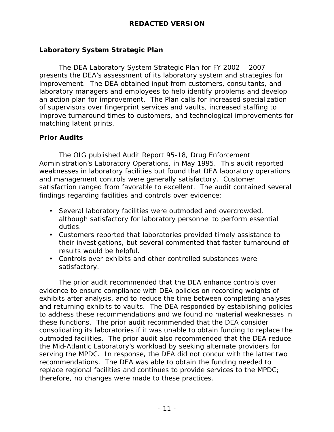### **Laboratory System Strategic Plan**

The DEA Laboratory System Strategic Plan for FY 2002 – 2007 presents the DEA's assessment of its laboratory system and strategies for improvement. The DEA obtained input from customers, consultants, and laboratory managers and employees to help identify problems and develop an action plan for improvement. The Plan calls for increased specialization of supervisors over fingerprint services and vaults, increased staffing to improve turnaround times to customers, and technological improvements for matching latent prints.

### **Prior Audits**

The OIG published Audit Report 95-18, *Drug Enforcement Administration's Laboratory Operations,* in May 1995. This audit reported weaknesses in laboratory facilities but found that DEA laboratory operations and management controls were generally satisfactory. Customer satisfaction ranged from favorable to excellent. The audit contained several findings regarding facilities and controls over evidence:

- Several laboratory facilities were outmoded and overcrowded, although satisfactory for laboratory personnel to perform essential duties.
- Customers reported that laboratories provided timely assistance to their investigations, but several commented that faster turnaround of results would be helpful.
- Controls over exhibits and other controlled substances were satisfactory.

The prior audit recommended that the DEA enhance controls over evidence to ensure compliance with DEA policies on recording weights of exhibits after analysis, and to reduce the time between completing analyses and returning exhibits to vaults. The DEA responded by establishing policies to address these recommendations and we found no material weaknesses in these functions. The prior audit recommended that the DEA consider consolidating its laboratories if it was unable to obtain funding to replace the outmoded facilities. The prior audit also recommended that the DEA reduce the Mid-Atlantic Laboratory's workload by seeking alternate providers for serving the MPDC. In response, the DEA did not concur with the latter two recommendations. The DEA was able to obtain the funding needed to replace regional facilities and continues to provide services to the MPDC; therefore, no changes were made to these practices.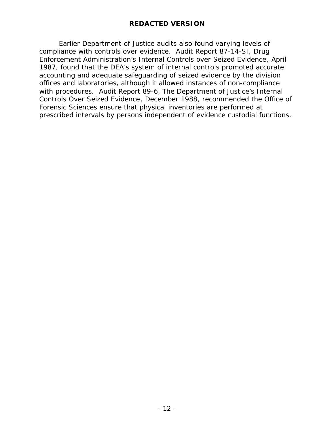Earlier Department of Justice audits also found varying levels of compliance with controls over evidence. Audit Report 87-14-SI, *Drug Enforcement Administration's Internal Controls over Seized Evidence*, April 1987, found that the DEA's system of internal controls promoted accurate accounting and adequate safeguarding of seized evidence by the division offices and laboratories, although it allowed instances of non-compliance with procedures. Audit Report 89-6, *The Department of Justice's Internal Controls Over Seized Evidence*, December 1988, recommended the Office of Forensic Sciences ensure that physical inventories are performed at prescribed intervals by persons independent of evidence custodial functions.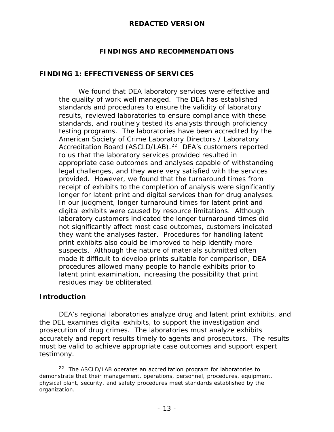### **FINDINGS AND RECOMMENDATIONS**

### **FINDING 1: EFFECTIVENESS OF SERVICES**

We found that DEA laboratory services were effective and the quality of work well managed. The DEA has established standards and procedures to ensure the validity of laboratory results, reviewed laboratories to ensure compliance with these standards, and routinely tested its analysts through proficiency testing programs. The laboratories have been accredited by the American Society of Crime Laboratory Directors / Laboratory Accreditation Board (ASCLD/LAB).<sup>22</sup> DEA's customers reported to us that the laboratory services provided resulted in appropriate case outcomes and analyses capable of withstanding legal challenges, and they were very satisfied with the services provided. However, we found that the turnaround times from receipt of exhibits to the completion of analysis were significantly longer for latent print and digital services than for drug analyses. In our judgment, longer turnaround times for latent print and digital exhibits were caused by resource limitations. Although laboratory customers indicated the longer turnaround times did not significantly affect most case outcomes, customers indicated they want the analyses faster. Procedures for handling latent print exhibits also could be improved to help identify more suspects. Although the nature of materials submitted often made it difficult to develop prints suitable for comparison, DEA procedures allowed many people to handle exhibits prior to latent print examination, increasing the possibility that print residues may be obliterated.

### **Introduction**

DEA's regional laboratories analyze drug and latent print exhibits, and the DEL examines digital exhibits, to support the investigation and prosecution of drug crimes. The laboratories must analyze exhibits accurately and report results timely to agents and prosecutors. The results must be valid to achieve appropriate case outcomes and support expert testimony.

 $\overline{a}$  $22$  The ASCLD/LAB operates an accreditation program for laboratories to demonstrate that their management, operations, personnel, procedures, equipment, physical plant, security, and safety procedures meet standards established by the organization.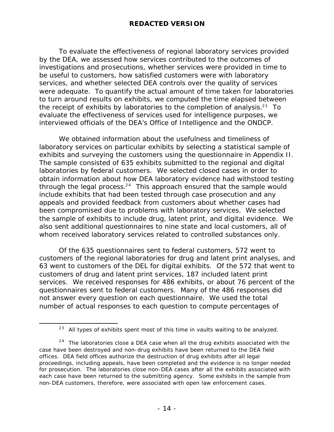To evaluate the effectiveness of regional laboratory services provided by the DEA, we assessed how services contributed to the outcomes of investigations and prosecutions, whether services were provided in time to be useful to customers, how satisfied customers were with laboratory services, and whether selected DEA controls over the quality of services were adequate. To quantify the actual amount of time taken for laboratories to turn around results on exhibits, we computed the time elapsed between the receipt of exhibits by laboratories to the completion of analysis.<sup>23</sup> To evaluate the effectiveness of services used for intelligence purposes, we interviewed officials of the DEA's Office of Intelligence and the ONDCP.

We obtained information about the usefulness and timeliness of laboratory services on particular exhibits by selecting a statistical sample of exhibits and surveying the customers using the questionnaire in Appendix II. The sample consisted of 635 exhibits submitted to the regional and digital laboratories by federal customers. We selected closed cases in order to obtain information about how DEA laboratory evidence had withstood testing through the legal process. $24$  This approach ensured that the sample would include exhibits that had been tested through case prosecution and any appeals and provided feedback from customers about whether cases had been compromised due to problems with laboratory services. We selected the sample of exhibits to include drug, latent print, and digital evidence. We also sent additional questionnaires to nine state and local customers, all of whom received laboratory services related to controlled substances only.

Of the 635 questionnaires sent to federal customers, 572 went to customers of the regional laboratories for drug and latent print analyses, and 63 went to customers of the DEL for digital exhibits. Of the 572 that went to customers of drug and latent print services, 187 included latent print services. We received responses for 486 exhibits, or about 76 percent of the questionnaires sent to federal customers. Many of the 486 responses did not answer every question on each questionnaire. We used the total number of actual responses to each question to compute percentages of

 $\overline{a}$ 

 $23$  All types of exhibits spent most of this time in vaults waiting to be analyzed.

 $24$  The laboratories close a DEA case when all the drug exhibits associated with the case have been destroyed and non-drug exhibits have been returned to the DEA field offices. DEA field offices authorize the destruction of drug exhibits after all legal proceedings, including appeals, have been completed and the evidence is no longer needed for prosecution. The laboratories close non-DEA cases after all the exhibits associated with each case have been returned to the submitting agency. Some exhibits in the sample from non-DEA customers, therefore, were associated with open law enforcement cases.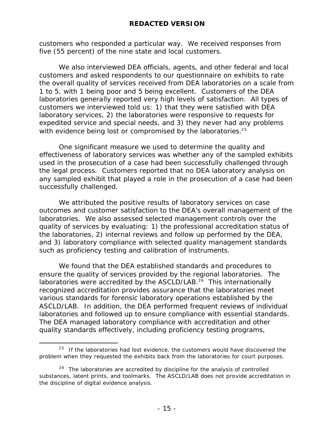customers who responded a particular way. We received responses from five (55 percent) of the nine state and local customers.

We also interviewed DEA officials, agents, and other federal and local customers and asked respondents to our questionnaire on exhibits to rate the overall quality of services received from DEA laboratories on a scale from 1 to 5, with 1 being poor and 5 being excellent. Customers of the DEA laboratories generally reported very high levels of satisfaction. All types of customers we interviewed told us: 1) that they were satisfied with DEA laboratory services, 2) the laboratories were responsive to requests for expedited service and special needs, and 3) they never had any problems with evidence being lost or compromised by the laboratories.<sup>25</sup>

One significant measure we used to determine the quality and effectiveness of laboratory services was whether any of the sampled exhibits used in the prosecution of a case had been successfully challenged through the legal process. Customers reported that no DEA laboratory analysis on any sampled exhibit that played a role in the prosecution of a case had been successfully challenged.

We attributed the positive results of laboratory services on case outcomes and customer satisfaction to the DEA's overall management of the laboratories. We also assessed selected management controls over the quality of services by evaluating: 1) the professional accreditation status of the laboratories, 2) internal reviews and follow up performed by the DEA, and 3) laboratory compliance with selected quality management standards such as proficiency testing and calibration of instruments.

We found that the DEA established standards and procedures to ensure the quality of services provided by the regional laboratories. The laboratories were accredited by the ASCLD/LAB.<sup>26</sup> This internationally recognized accreditation provides assurance that the laboratories meet various standards for forensic laboratory operations established by the ASCLD/LAB. In addition, the DEA performed frequent reviews of individual laboratories and followed up to ensure compliance with essential standards. The DEA managed laboratory compliance with accreditation and other quality standards effectively, including proficiency testing programs,

 $\overline{a}$ 

 $25$  If the laboratories had lost evidence, the customers would have discovered the problem when they requested the exhibits back from the laboratories for court purposes.

 $26$  The laboratories are accredited by discipline for the analysis of controlled substances, latent prints, and toolmarks. The ASCLD/LAB does not provide accreditation in the discipline of digital evidence analysis.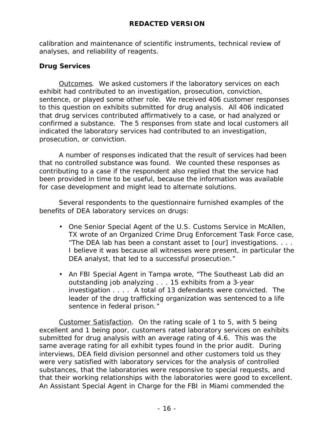calibration and maintenance of scientific instruments, technical review of analyses, and reliability of reagents.

### **Drug Services**

Outcomes. We asked customers if the laboratory services on each exhibit had contributed to an investigation, prosecution, conviction, sentence, or played some other role. We received 406 customer responses to this question on exhibits submitted for drug analysis. All 406 indicated that drug services contributed affirmatively to a case, or had analyzed or confirmed a substance. The 5 responses from state and local customers all indicated the laboratory services had contributed to an investigation, prosecution, or conviction.

A number of responses indicated that the result of services had been that no controlled substance was found. We counted these responses as contributing to a case if the respondent also replied that the service had been provided in time to be useful, because the information was available for case development and might lead to alternate solutions.

Several respondents to the questionnaire furnished examples of the benefits of DEA laboratory services on drugs:

- One Senior Special Agent of the U.S. Customs Service in McAllen, TX wrote of an Organized Crime Drug Enforcement Task Force case, "The DEA lab has been a constant asset to [our] investigations. . . . I believe it was because all witnesses were present, in particular the DEA analyst, that led to a successful prosecution."
- An FBI Special Agent in Tampa wrote, "The Southeast Lab did an outstanding job analyzing . . . 15 exhibits from a 3-year investigation . . . . A total of 13 defendants were convicted. The leader of the drug trafficking organization was sentenced to a life sentence in federal prison."

Customer Satisfaction. On the rating scale of 1 to 5, with 5 being excellent and 1 being poor, customers rated laboratory services on exhibits submitted for drug analysis with an average rating of 4.6. This was the same average rating for all exhibit types found in the prior audit. During interviews, DEA field division personnel and other customers told us they were very satisfied with laboratory services for the analysis of controlled substances, that the laboratories were responsive to special requests, and that their working relationships with the laboratories were good to excellent. An Assistant Special Agent in Charge for the FBI in Miami commended the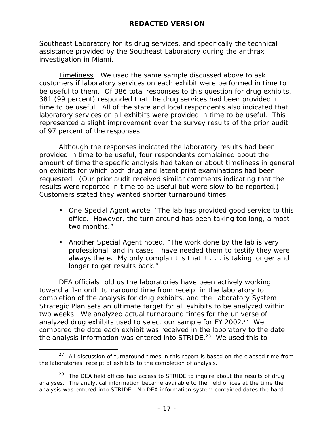Southeast Laboratory for its drug services, and specifically the technical assistance provided by the Southeast Laboratory during the anthrax investigation in Miami.

Timeliness. We used the same sample discussed above to ask customers if laboratory services on each exhibit were performed in time to be useful to them. Of 386 total responses to this question for drug exhibits, 381 (99 percent) responded that the drug services had been provided in time to be useful. All of the state and local respondents also indicated that laboratory services on all exhibits were provided in time to be useful. This represented a slight improvement over the survey results of the prior audit of 97 percent of the responses.

Although the responses indicated the laboratory results had been provided in time to be useful, four respondents complained about the amount of time the specific analysis had taken or about timeliness in general on exhibits for which both drug and latent print examinations had been requested. (Our prior audit received similar comments indicating that the results were reported in time to be useful but were slow to be reported.) Customers stated they wanted shorter turnaround times.

- One Special Agent wrote, "The lab has provided good service to this office. However, the turn around has been taking too long, almost two months."
- Another Special Agent noted, "The work done by the lab is very professional, and in cases I have needed them to testify they were always there. My only complaint is that it . . . is taking longer and longer to get results back."

DEA officials told us the laboratories have been actively working toward a 1-month turnaround time from receipt in the laboratory to completion of the analysis for drug exhibits, and the Laboratory System Strategic Plan sets an ultimate target for all exhibits to be analyzed within two weeks. We analyzed actual turnaround times for the universe of analyzed drug exhibits used to select our sample for FY 2002.<sup>27</sup> We compared the date each exhibit was received in the laboratory to the date the analysis information was entered into STRIDE.<sup>28</sup> We used this to

 $\overline{a}$ 

 $27$  All discussion of turnaround times in this report is based on the elapsed time from the laboratories' receipt of exhibits to the completion of analysis.

 $28$  The DEA field offices had access to STRIDE to inquire about the results of drug analyses. The analytical information became available to the field offices at the time the analysis was entered into STRIDE. No DEA information system contained dates the hard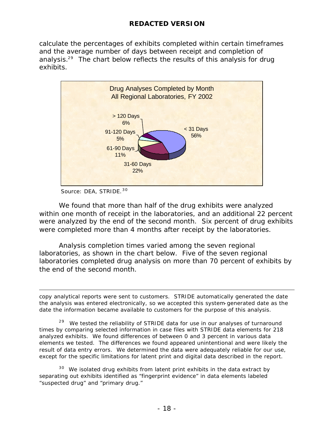calculate the percentages of exhibits completed within certain timeframes and the average number of days between receipt and completion of analysis.<sup>29</sup> The chart below reflects the results of this analysis for drug exhibits.



Source: DEA, STRIDE. 30

 $\overline{a}$ 

We found that more than half of the drug exhibits were analyzed within one month of receipt in the laboratories, and an additional 22 percent were analyzed by the end of the second month. Six percent of drug exhibits were completed more than 4 months after receipt by the laboratories.

Analysis completion times varied among the seven regional laboratories, as shown in the chart below. Five of the seven regional laboratories completed drug analysis on more than 70 percent of exhibits by the end of the second month.

copy analytical reports were sent to customers. STRIDE automatically generated the date the analysis was entered electronically, so we accepted this system-generated date as the date the information became available to customers for the purpose of this analysis.

<sup>29</sup> We tested the reliability of STRIDE data for use in our analyses of turnaround times by comparing selected information in case files with STRIDE data elements for 218 analyzed exhibits. We found differences of between 0 and 3 percent in various data elements we tested. The differences we found appeared unintentional and were likely the result of data entry errors. We determined the data were adequately reliable for our use, except for the specific limitations for latent print and digital data described in the report.

 $30$  We isolated drug exhibits from latent print exhibits in the data extract by separating out exhibits identified as "fingerprint evidence" in data elements labeled "suspected drug" and "primary drug."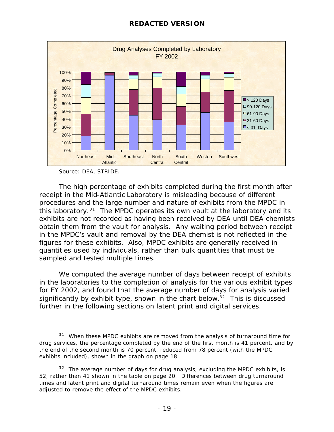

Source: DEA, STRIDE.

The high percentage of exhibits completed during the first month after receipt in the Mid-Atlantic Laboratory is misleading because of different procedures and the large number and nature of exhibits from the MPDC in this laboratory.<sup>31</sup> The MPDC operates its own vault at the laboratory and its exhibits are not recorded as having been received by DEA until DEA chemists obtain them from the vault for analysis. Any waiting period between receipt in the MPDC's vault and removal by the DEA chemist is not reflected in the figures for these exhibits. Also, MPDC exhibits are generally received in quantities used by individuals, rather than bulk quantities that must be sampled and tested multiple times.

We computed the average number of days between receipt of exhibits in the laboratories to the completion of analysis for the various exhibit types for FY 2002, and found that the average number of days for analysis varied significantly by exhibit type, shown in the chart below.<sup>32</sup> This is discussed further in the following sections on latent print and digital services.

 $\overline{a}$  $31$  When these MPDC exhibits are removed from the analysis of turnaround time for drug services, the percentage completed by the end of the first month is 41 percent, and by the end of the second month is 70 percent, reduced from 78 percent (with the MPDC exhibits included), shown in the graph on page 18.

 $32$  The average number of days for drug analysis, excluding the MPDC exhibits, is 52, rather than 41 shown in the table on page 20. Differences between drug turnaround times and latent print and digital turnaround times remain even when the figures are adjusted to remove the effect of the MPDC exhibits.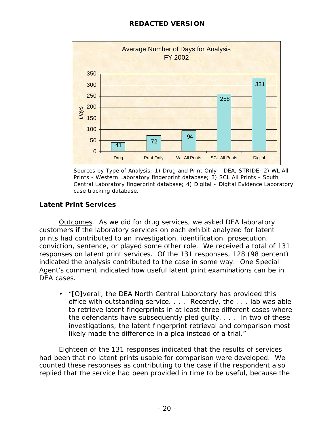

Sources by Type of Analysis: 1) Drug and Print Only - DEA, STRIDE; 2) WL All Prints - Western Laboratory fingerprint database; 3) SCL All Prints - South Central Laboratory fingerprint database; 4) Digital - Digital Evidence Laboratory case tracking database.

### **Latent Print Services**

Outcomes. As we did for drug services, we asked DEA laboratory customers if the laboratory services on each exhibit analyzed for latent prints had contributed to an investigation, identification, prosecution, conviction, sentence, or played some other role. We received a total of 131 responses on latent print services. Of the 131 responses, 128 (98 percent) indicated the analysis contributed to the case in some way. One Special Agent's comment indicated how useful latent print examinations can be in DEA cases.

• "[O]verall, the DEA North Central Laboratory has provided this office with outstanding service. . . . Recently, the . . . lab was able to retrieve latent fingerprints in at least three different cases where the defendants have subsequently pled guilty. . . . In two of these investigations, the latent fingerprint retrieval and comparison most likely made the difference in a plea instead of a trial."

Eighteen of the 131 responses indicated that the results of services had been that no latent prints usable for comparison were developed. We counted these responses as contributing to the case if the respondent also replied that the service had been provided in time to be useful, because the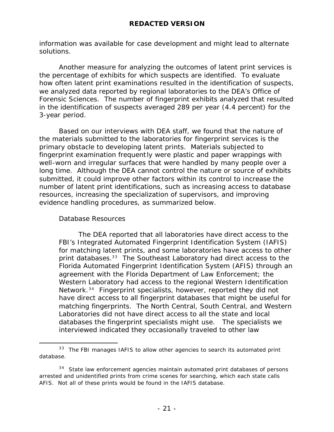information was available for case development and might lead to alternate solutions.

Another measure for analyzing the outcomes of latent print services is the percentage of exhibits for which suspects are identified. To evaluate how often latent print examinations resulted in the identification of suspects, we analyzed data reported by regional laboratories to the DEA's Office of Forensic Sciences. The number of fingerprint exhibits analyzed that resulted in the identification of suspects averaged 289 per year (4.4 percent) for the 3-year period.

Based on our interviews with DEA staff, we found that the nature of the materials submitted to the laboratories for fingerprint services is the primary obstacle to developing latent prints. Materials subjected to fingerprint examination frequently were plastic and paper wrappings with well-worn and irregular surfaces that were handled by many people over a long time. Although the DEA cannot control the nature or source of exhibits submitted, it could improve other factors within its control to increase the number of latent print identifications, such as increasing access to database resources, increasing the specialization of supervisors, and improving evidence handling procedures, as summarized below.

### Database Resources

 $\overline{a}$ 

The DEA reported that all laboratories have direct access to the FBI's Integrated Automated Fingerprint Identification System (IAFIS) for matching latent prints, and some laboratories have access to other print databases.<sup>33</sup> The Southeast Laboratory had direct access to the Florida Automated Fingerprint Identification System (AFIS) through an agreement with the Florida Department of Law Enforcement; the Western Laboratory had access to the regional Western Identification Network.<sup>34</sup> Fingerprint specialists, however, reported they did not have direct access to all fingerprint databases that might be useful for matching fingerprints. The North Central, South Central, and Western Laboratories did not have direct access to all the state and local databases the fingerprint specialists might use. The specialists we interviewed indicated they occasionally traveled to other law

 $33$  The FBI manages IAFIS to allow other agencies to search its automated print database.

 $34$  State law enforcement agencies maintain automated print databases of persons arrested and unidentified prints from crime scenes for searching, which each state calls AFIS. Not all of these prints would be found in the IAFIS database.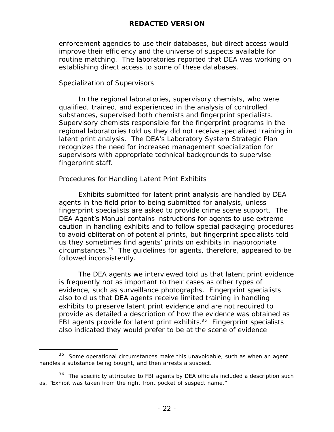enforcement agencies to use their databases, but direct access would improve their efficiency and the universe of suspects available for routine matching. The laboratories reported that DEA was working on establishing direct access to some of these databases.

### Specialization of Supervisors

 $\overline{a}$ 

In the regional laboratories, supervisory chemists, who were qualified, trained, and experienced in the analysis of controlled substances, supervised both chemists and fingerprint specialists. Supervisory chemists responsible for the fingerprint programs in the regional laboratories told us they did not receive specialized training in latent print analysis. The DEA's Laboratory System Strategic Plan recognizes the need for increased management specialization for supervisors with appropriate technical backgrounds to supervise fingerprint staff.

### Procedures for Handling Latent Print Exhibits

Exhibits submitted for latent print analysis are handled by DEA agents in the field prior to being submitted for analysis, unless fingerprint specialists are asked to provide crime scene support. The DEA Agent's Manual contains instructions for agents to use extreme caution in handling exhibits and to follow special packaging procedures to avoid obliteration of potential prints, but fingerprint specialists told us they sometimes find agents' prints on exhibits in inappropriate  $circumstances.<sup>35</sup>$  The quidelines for agents, therefore, appeared to be followed inconsistently.

The DEA agents we interviewed told us that latent print evidence is frequently not as important to their cases as other types of evidence, such as surveillance photographs. Fingerprint specialists also told us that DEA agents receive limited training in handling exhibits to preserve latent print evidence and are not required to provide as detailed a description of how the evidence was obtained as FBI agents provide for latent print exhibits.<sup>36</sup> Fingerprint specialists also indicated they would prefer to be at the scene of evidence

 $35$  Some operational circumstances make this unavoidable, such as when an agent handles a substance being bought, and then arrests a suspect.

 $36$  The specificity attributed to FBI agents by DEA officials included a description such as, "Exhibit was taken from the right front pocket of suspect name."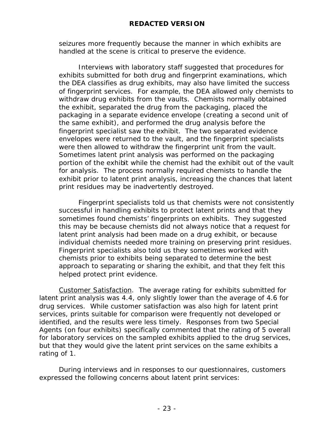seizures more frequently because the manner in which exhibits are handled at the scene is critical to preserve the evidence.

Interviews with laboratory staff suggested that procedures for exhibits submitted for both drug and fingerprint examinations, which the DEA classifies as drug exhibits, may also have limited the success of fingerprint services. For example, the DEA allowed only chemists to withdraw drug exhibits from the vaults. Chemists normally obtained the exhibit, separated the drug from the packaging, placed the packaging in a separate evidence envelope (creating a second unit of the same exhibit), and performed the drug analysis before the fingerprint specialist saw the exhibit. The two separated evidence envelopes were returned to the vault, and the fingerprint specialists were then allowed to withdraw the fingerprint unit from the vault. Sometimes latent print analysis was performed on the packaging portion of the exhibit while the chemist had the exhibit out of the vault for analysis. The process normally required chemists to handle the exhibit prior to latent print analysis, increasing the chances that latent print residues may be inadvertently destroyed.

Fingerprint specialists told us that chemists were not consistently successful in handling exhibits to protect latent prints and that they sometimes found chemists' fingerprints on exhibits. They suggested this may be because chemists did not always notice that a request for latent print analysis had been made on a drug exhibit, or because individual chemists needed more training on preserving print residues. Fingerprint specialists also told us they sometimes worked with chemists prior to exhibits being separated to determine the best approach to separating or sharing the exhibit, and that they felt this helped protect print evidence.

Customer Satisfaction. The average rating for exhibits submitted for latent print analysis was 4.4, only slightly lower than the average of 4.6 for drug services. While customer satisfaction was also high for latent print services, prints suitable for comparison were frequently not developed or identified, and the results were less timely. Responses from two Special Agents (on four exhibits) specifically commented that the rating of 5 overall for laboratory services on the sampled exhibits applied to the drug services, but that they would give the latent print services on the same exhibits a rating of 1.

During interviews and in responses to our questionnaires, customers expressed the following concerns about latent print services: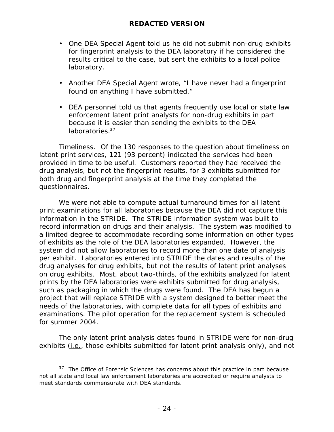- One DEA Special Agent told us he did not submit non-drug exhibits for fingerprint analysis to the DEA laboratory if he considered the results critical to the case, but sent the exhibits to a local police laboratory.
- Another DEA Special Agent wrote, "I have never had a fingerprint found on anything I have submitted."
- DEA personnel told us that agents frequently use local or state law enforcement latent print analysts for non-drug exhibits in part because it is easier than sending the exhibits to the DEA laboratories.<sup>37</sup>

Timeliness. Of the 130 responses to the question about timeliness on latent print services, 121 (93 percent) indicated the services had been provided in time to be useful. Customers reported they had received the drug analysis, but not the fingerprint results, for 3 exhibits submitted for both drug and fingerprint analysis at the time they completed the questionnaires.

We were not able to compute actual turnaround times for all latent print examinations for all laboratories because the DEA did not capture this information in the STRIDE. The STRIDE information system was built to record information on drugs and their analysis. The system was modified to a limited degree to accommodate recording some information on other types of exhibits as the role of the DEA laboratories expanded. However, the system did not allow laboratories to record more than one date of analysis per exhibit. Laboratories entered into STRIDE the dates and results of the drug analyses for drug exhibits, but not the results of latent print analyses on drug exhibits. Most, about two-thirds, of the exhibits analyzed for latent prints by the DEA laboratories were exhibits submitted for drug analysis, such as packaging in which the drugs were found. The DEA has begun a project that will replace STRIDE with a system designed to better meet the needs of the laboratories, with complete data for all types of exhibits and examinations. The pilot operation for the replacement system is scheduled for summer 2004.

The only latent print analysis dates found in STRIDE were for non-drug exhibits (i.e., those exhibits submitted for latent print analysis only), and not

 $\overline{a}$  $37$  The Office of Forensic Sciences has concerns about this practice in part because not all state and local law enforcement laboratories are accredited or require analysts to meet standards commensurate with DEA standards.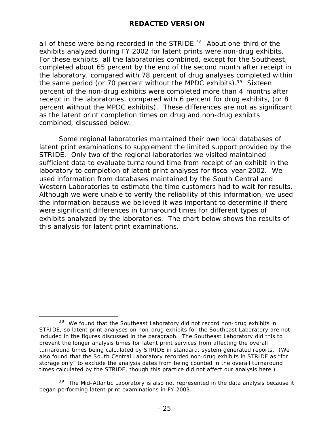all of these were being recorded in the STRIDE.<sup>38</sup> About one-third of the exhibits analyzed during FY 2002 for latent prints were non-drug exhibits. For these exhibits, all the laboratories combined, except for the Southeast, completed about 65 percent by the end of the second month after receipt in the laboratory, compared with 78 percent of drug analyses completed within the same period (or 70 percent without the MPDC exhibits). $39$  Sixteen percent of the non-drug exhibits were completed more than 4 months after receipt in the laboratories, compared with 6 percent for drug exhibits, (or 8 percent without the MPDC exhibits). These differences are not as significant as the latent print completion times on drug and non-drug exhibits combined, discussed below.

Some regional laboratories maintained their own local databases of latent print examinations to supplement the limited support provided by the STRIDE. Only two of the regional laboratories we visited maintained sufficient data to evaluate turnaround time from receipt of an exhibit in the laboratory to completion of latent print analyses for fiscal year 2002. We used information from databases maintained by the South Central and Western Laboratories to estimate the time customers had to wait for results. Although we were unable to verify the reliability of this information, we used the information because we believed it was important to determine if there were significant differences in turnaround times for different types of exhibits analyzed by the laboratories. The chart below shows the results of this analysis for latent print examinations.

 $\overline{a}$  $38$  We found that the Southeast Laboratory did not record non-drug exhibits in STRIDE, so latent print analyses on non-drug exhibits for the Southeast Laboratory are not included in the figures discussed in the paragraph. The Southeast Laboratory did this to prevent the longer analysis times for latent print services from affecting the overall turnaround times being calculated by STRIDE in standard, system-generated reports. (We also found that the South Central Laboratory recorded non-drug exhibits in STRIDE as "for storage only" to exclude the analysis dates from being counted in the overall turnaround times calculated by the STRIDE, though this practice did not affect our analysis here.)

 $39$  The Mid-Atlantic Laboratory is also not represented in the data analysis because it began performing latent print examinations in FY 2003.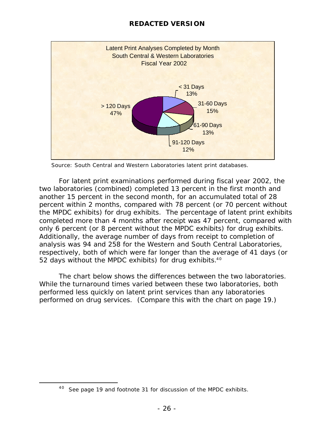

Source: South Central and Western Laboratories latent print databases.

For latent print examinations performed during fiscal year 2002, the two laboratories (combined) completed 13 percent in the first month and another 15 percent in the second month, for an accumulated total of 28 percent within 2 months, compared with 78 percent (or 70 percent without the MPDC exhibits) for drug exhibits. The percentage of latent print exhibits completed more than 4 months after receipt was 47 percent, compared with only 6 percent (or 8 percent without the MPDC exhibits) for drug exhibits. Additionally, the average number of days from receipt to completion of analysis was 94 and 258 for the Western and South Central Laboratories, respectively, both of which were far longer than the average of 41 days (or 52 days without the MPDC exhibits) for drug exhibits. $40$ 

The chart below shows the differences between the two laboratories. While the turnaround times varied between these two laboratories, both performed less quickly on latent print services than any laboratories performed on drug services. (Compare this with the chart on page 19.)

 $\overline{a}$ 

 $40$  See page 19 and footnote 31 for discussion of the MPDC exhibits.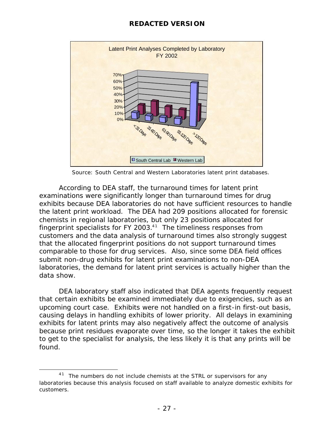

Source: South Central and Western Laboratories latent print databases.

According to DEA staff, the turnaround times for latent print examinations were significantly longer than turnaround times for drug exhibits because DEA laboratories do not have sufficient resources to handle the latent print workload. The DEA had 209 positions allocated for forensic chemists in regional laboratories, but only 23 positions allocated for fingerprint specialists for FY 2003. $41$  The timeliness responses from customers and the data analysis of turnaround times also strongly suggest that the allocated fingerprint positions do not support turnaround times comparable to those for drug services. Also, since some DEA field offices submit non-drug exhibits for latent print examinations to non-DEA laboratories, the demand for latent print services is actually higher than the data show.

DEA laboratory staff also indicated that DEA agents frequently request that certain exhibits be examined immediately due to exigencies, such as an upcoming court case. Exhibits were not handled on a first-in first-out basis, causing delays in handling exhibits of lower priority. All delays in examining exhibits for latent prints may also negatively affect the outcome of analysis because print residues evaporate over time, so the longer it takes the exhibit to get to the specialist for analysis, the less likely it is that any prints will be found.

 $\overline{a}$  $41$  The numbers do not include chemists at the STRL or supervisors for any laboratories because this analysis focused on staff available to analyze domestic exhibits for customers.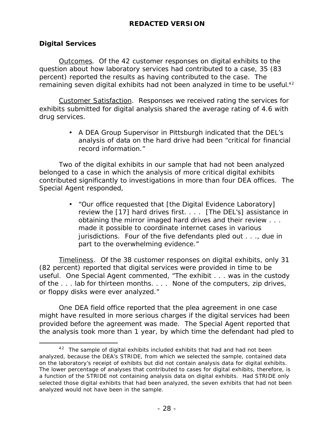### **Digital Services**

 $\overline{a}$ 

Outcomes. Of the 42 customer responses on digital exhibits to the question about how laboratory services had contributed to a case, 35 (83 percent) reported the results as having contributed to the case. The remaining seven digital exhibits had not been analyzed in time to be useful.<sup>42</sup>

Customer Satisfaction. Responses we received rating the services for exhibits submitted for digital analysis shared the average rating of 4.6 with drug services.

> • A DEA Group Supervisor in Pittsburgh indicated that the DEL's analysis of data on the hard drive had been "critical for financial record information."

Two of the digital exhibits in our sample that had not been analyzed belonged to a case in which the analysis of more critical digital exhibits contributed significantly to investigations in more than four DEA offices. The Special Agent responded,

> • "Our office requested that [the Digital Evidence Laboratory] review the [17] hard drives first. . . . [The DEL's] assistance in obtaining the mirror imaged hard drives and their review . . . made it possible to coordinate internet cases in various jurisdictions. Four of the five defendants pled out . . ., due in part to the overwhelming evidence."

Timeliness. Of the 38 customer responses on digital exhibits, only 31 (82 percent) reported that digital services were provided in time to be useful. One Special Agent commented, "The exhibit . . . was in the custody of the . . . lab for thirteen months. . . . None of the computers, zip drives, or floppy disks were ever analyzed."

One DEA field office reported that the plea agreement in one case might have resulted in more serious charges if the digital services had been provided before the agreement was made. The Special Agent reported that the analysis took more than 1 year, by which time the defendant had pled to

 $42$  The sample of digital exhibits included exhibits that had and had not been analyzed, because the DEA's STRIDE, from which we selected the sample, contained data on the laboratory's receipt of exhibits but did not contain analysis data for digital exhibits. The lower percentage of analyses that contributed to cases for digital exhibits, therefore, is a function of the STRIDE not containing analysis data on digital exhibits. Had STRIDE only selected those digital exhibits that had been analyzed, the seven exhibits that had not been analyzed would not have been in the sample.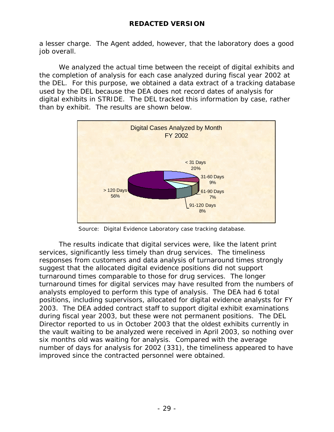a lesser charge. The Agent added, however, that the laboratory does a good job overall.

We analyzed the actual time between the receipt of digital exhibits and the completion of analysis for each case analyzed during fiscal year 2002 at the DEL. For this purpose, we obtained a data extract of a tracking database used by the DEL because the DEA does not record dates of analysis for digital exhibits in STRIDE. The DEL tracked this information by case, rather than by exhibit. The results are shown below.



Source: Digital Evidence Laboratory case tracking database.

The results indicate that digital services were, like the latent print services, significantly less timely than drug services. The timeliness responses from customers and data analysis of turnaround times strongly suggest that the allocated digital evidence positions did not support turnaround times comparable to those for drug services. The longer turnaround times for digital services may have resulted from the numbers of analysts employed to perform this type of analysis. The DEA had 6 total positions, including supervisors, allocated for digital evidence analysts for FY 2003. The DEA added contract staff to support digital exhibit examinations during fiscal year 2003, but these were not permanent positions. The DEL Director reported to us in October 2003 that the oldest exhibits currently in the vault waiting to be analyzed were received in April 2003, so nothing over six months old was waiting for analysis. Compared with the average number of days for analysis for 2002 (331), the timeliness appeared to have improved since the contracted personnel were obtained.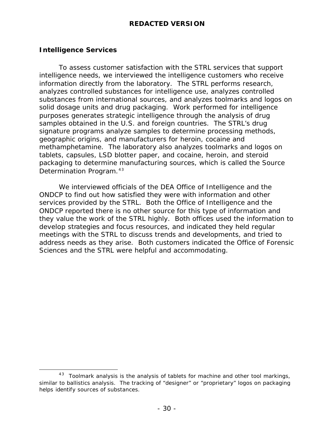### **Intelligence Services**

To assess customer satisfaction with the STRL services that support intelligence needs, we interviewed the intelligence customers who receive information directly from the laboratory. The STRL performs research, analyzes controlled substances for intelligence use, analyzes controlled substances from international sources, and analyzes toolmarks and logos on solid dosage units and drug packaging. Work performed for intelligence purposes generates strategic intelligence through the analysis of drug samples obtained in the U.S. and foreign countries. The STRL's drug signature programs analyze samples to determine processing methods, geographic origins, and manufacturers for heroin, cocaine and methamphetamine. The laboratory also analyzes toolmarks and logos on tablets, capsules, LSD blotter paper, and cocaine, heroin, and steroid packaging to determine manufacturing sources, which is called the Source Determination Program.<sup>43</sup>

We interviewed officials of the DEA Office of Intelligence and the ONDCP to find out how satisfied they were with information and other services provided by the STRL. Both the Office of Intelligence and the ONDCP reported there is no other source for this type of information and they value the work of the STRL highly. Both offices used the information to develop strategies and focus resources, and indicated they held regular meetings with the STRL to discuss trends and developments, and tried to address needs as they arise. Both customers indicated the Office of Forensic Sciences and the STRL were helpful and accommodating.

 $\overline{a}$  $43$  Toolmark analysis is the analysis of tablets for machine and other tool markings, similar to ballistics analysis. The tracking of "designer" or "proprietary" logos on packaging helps identify sources of substances.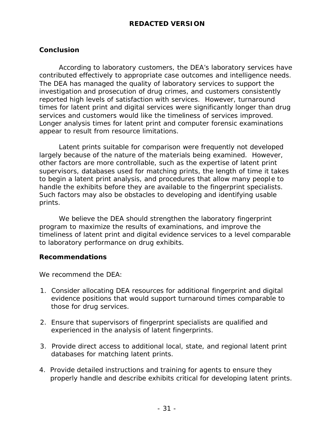### **Conclusion**

According to laboratory customers, the DEA's laboratory services have contributed effectively to appropriate case outcomes and intelligence needs. The DEA has managed the quality of laboratory services to support the investigation and prosecution of drug crimes, and customers consistently reported high levels of satisfaction with services. However, turnaround times for latent print and digital services were significantly longer than drug services and customers would like the timeliness of services improved. Longer analysis times for latent print and computer forensic examinations appear to result from resource limitations.

Latent prints suitable for comparison were frequently not developed largely because of the nature of the materials being examined. However, other factors are more controllable, such as the expertise of latent print supervisors, databases used for matching prints, the length of time it takes to begin a latent print analysis, and procedures that allow many people to handle the exhibits before they are available to the fingerprint specialists. Such factors may also be obstacles to developing and identifying usable prints.

We believe the DEA should strengthen the laboratory fingerprint program to maximize the results of examinations, and improve the timeliness of latent print and digital evidence services to a level comparable to laboratory performance on drug exhibits.

### **Recommendations**

We recommend the DEA:

- 1. Consider allocating DEA resources for additional fingerprint and digital evidence positions that would support turnaround times comparable to those for drug services.
- 2. Ensure that supervisors of fingerprint specialists are qualified and experienced in the analysis of latent fingerprints.
- 3. Provide direct access to additional local, state, and regional latent print databases for matching latent prints.
- 4. Provide detailed instructions and training for agents to ensure they properly handle and describe exhibits critical for developing latent prints.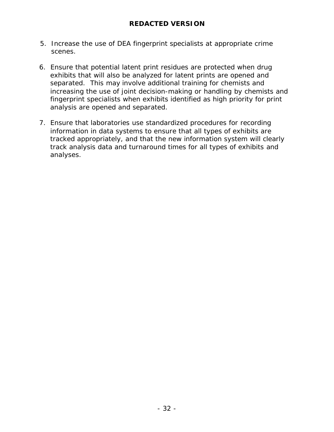- 5. Increase the use of DEA fingerprint specialists at appropriate crime scenes.
- 6. Ensure that potential latent print residues are protected when drug exhibits that will also be analyzed for latent prints are opened and separated. This may involve additional training for chemists and increasing the use of joint decision-making or handling by chemists and fingerprint specialists when exhibits identified as high priority for print analysis are opened and separated.
- 7. Ensure that laboratories use standardized procedures for recording information in data systems to ensure that all types of exhibits are tracked appropriately, and that the new information system will clearly track analysis data and turnaround times for all types of exhibits and analyses.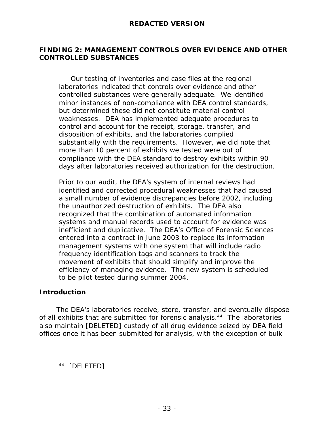### **FINDING 2: MANAGEMENT CONTROLS OVER EVIDENCE AND OTHER CONTROLLED SUBSTANCES**

 Our testing of inventories and case files at the regional laboratories indicated that controls over evidence and other controlled substances were generally adequate. We identified minor instances of non-compliance with DEA control standards, but determined these did not constitute material control weaknesses. DEA has implemented adequate procedures to control and account for the receipt, storage, transfer, and disposition of exhibits, and the laboratories complied substantially with the requirements. However, we did note that more than 10 percent of exhibits we tested were out of compliance with the DEA standard to destroy exhibits within 90 days after laboratories received authorization for the destruction.

Prior to our audit, the DEA's system of internal reviews had identified and corrected procedural weaknesses that had caused a small number of evidence discrepancies before 2002, including the unauthorized destruction of exhibits. The DEA also recognized that the combination of automated information systems and manual records used to account for evidence was inefficient and duplicative. The DEA's Office of Forensic Sciences entered into a contract in June 2003 to replace its information management systems with one system that will include radio frequency identification tags and scanners to track the movement of exhibits that should simplify and improve the efficiency of managing evidence. The new system is scheduled to be pilot tested during summer 2004.

### **Introduction**

 $\overline{a}$ 

The DEA's laboratories receive, store, transfer, and eventually dispose of all exhibits that are submitted for forensic analysis.<sup>44</sup> The laboratories also maintain [DELETED] custody of all drug evidence seized by DEA field offices once it has been submitted for analysis, with the exception of bulk

<sup>44</sup> [DELETED]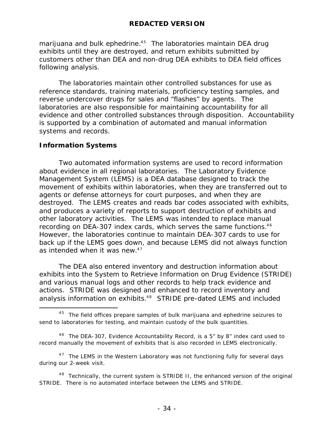marijuana and bulk ephedrine. $45$  The laboratories maintain DEA drug exhibits until they are destroyed, and return exhibits submitted by customers other than DEA and non-drug DEA exhibits to DEA field offices following analysis.

The laboratories maintain other controlled substances for use as reference standards, training materials, proficiency testing samples, and reverse undercover drugs for sales and "flashes" by agents. The laboratories are also responsible for maintaining accountability for all evidence and other controlled substances through disposition. Accountability is supported by a combination of automated and manual information systems and records.

### **Information Systems**

 $\overline{a}$ 

Two automated information systems are used to record information about evidence in all regional laboratories. The Laboratory Evidence Management System (LEMS) is a DEA database designed to track the movement of exhibits within laboratories, when they are transferred out to agents or defense attorneys for court purposes, and when they are destroyed. The LEMS creates and reads bar codes associated with exhibits, and produces a variety of reports to support destruction of exhibits and other laboratory activities. The LEMS was intended to replace manual recording on DEA-307 index cards, which serves the same functions.<sup>46</sup> However, the laboratories continue to maintain DEA-307 cards to use for back up if the LEMS goes down, and because LEMS did not always function as intended when it was new.<sup>47</sup>

The DEA also entered inventory and destruction information about exhibits into the System to Retrieve Information on Drug Evidence (STRIDE) and various manual logs and other records to help track evidence and actions. STRIDE was designed and enhanced to record inventory and analysis information on exhibits.<sup>48</sup> STRIDE pre-dated LEMS and included

 $45$  The field offices prepare samples of bulk marijuana and ephedrine seizures to send to laboratories for testing, and maintain custody of the bulk quantities.

 $46$  The DEA-307, Evidence Accountability Record, is a 5" by 8" index card used to record manually the movement of exhibits that is also recorded in LEMS electronically.

 $47$  The LEMS in the Western Laboratory was not functioning fully for several days during our 2-week visit.

 $48$  Technically, the current system is STRIDE II, the enhanced version of the original STRIDE. There is no automated interface between the LEMS and STRIDE.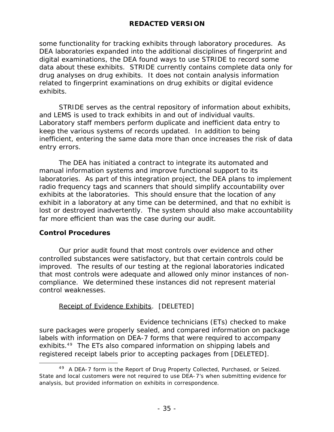some functionality for tracking exhibits through laboratory procedures. As DEA laboratories expanded into the additional disciplines of fingerprint and digital examinations, the DEA found ways to use STRIDE to record some data about these exhibits. STRIDE currently contains complete data only for drug analyses on drug exhibits. It does not contain analysis information related to fingerprint examinations on drug exhibits or digital evidence exhibits.

STRIDE serves as the central repository of information about exhibits, and LEMS is used to track exhibits in and out of individual vaults. Laboratory staff members perform duplicate and inefficient data entry to keep the various systems of records updated. In addition to being inefficient, entering the same data more than once increases the risk of data entry errors.

The DEA has initiated a contract to integrate its automated and manual information systems and improve functional support to its laboratories. As part of this integration project, the DEA plans to implement radio frequency tags and scanners that should simplify accountability over exhibits at the laboratories. This should ensure that the location of any exhibit in a laboratory at any time can be determined, and that no exhibit is lost or destroyed inadvertently. The system should also make accountability far more efficient than was the case during our audit.

### **Control Procedures**

Our prior audit found that most controls over evidence and other controlled substances were satisfactory, but that certain controls could be improved. The results of our testing at the regional laboratories indicated that most controls were adequate and allowed only minor instances of noncompliance. We determined these instances did not represent material control weaknesses.

### Receipt of Evidence Exhibits. [DELETED]

 Evidence technicians (ETs) checked to make sure packages were properly sealed, and compared information on package labels with information on DEA-7 forms that were required to accompany exhibits.<sup>49</sup> The ETs also compared information on shipping labels and registered receipt labels prior to accepting packages from [DELETED].

 $\overline{a}$ <sup>49</sup> A DEA-7 form is the Report of Drug Property Collected, Purchased, or Seized. State and local customers were not required to use DEA-7's when submitting evidence for analysis, but provided information on exhibits in correspondence.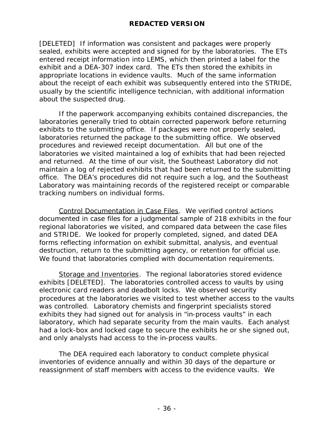[DELETED] If information was consistent and packages were properly sealed, exhibits were accepted and signed for by the laboratories. The ETs entered receipt information into LEMS, which then printed a label for the exhibit and a DEA-307 index card. The ETs then stored the exhibits in appropriate locations in evidence vaults. Much of the same information about the receipt of each exhibit was subsequently entered into the STRIDE, usually by the scientific intelligence technician, with additional information about the suspected drug.

If the paperwork accompanying exhibits contained discrepancies, the laboratories generally tried to obtain corrected paperwork before returning exhibits to the submitting office. If packages were not properly sealed, laboratories returned the package to the submitting office. We observed procedures and reviewed receipt documentation. All but one of the laboratories we visited maintained a log of exhibits that had been rejected and returned. At the time of our visit, the Southeast Laboratory did not maintain a log of rejected exhibits that had been returned to the submitting office. The DEA's procedures did not require such a log, and the Southeast Laboratory was maintaining records of the registered receipt or comparable tracking numbers on individual forms.

Control Documentation in Case Files. We verified control actions documented in case files for a judgmental sample of 218 exhibits in the four regional laboratories we visited, and compared data between the case files and STRIDE. We looked for properly completed, signed, and dated DEA forms reflecting information on exhibit submittal, analysis, and eventual destruction, return to the submitting agency, or retention for official use. We found that laboratories complied with documentation requirements.

Storage and Inventories. The regional laboratories stored evidence exhibits [DELETED]. The laboratories controlled access to vaults by using electronic card readers and deadbolt locks. We observed security procedures at the laboratories we visited to test whether access to the vaults was controlled. Laboratory chemists and fingerprint specialists stored exhibits they had signed out for analysis in "in-process vaults" in each laboratory, which had separate security from the main vaults. Each analyst had a lock-box and locked cage to secure the exhibits he or she signed out, and only analysts had access to the in-process vaults.

The DEA required each laboratory to conduct complete physical inventories of evidence annually and within 30 days of the departure or reassignment of staff members with access to the evidence vaults. We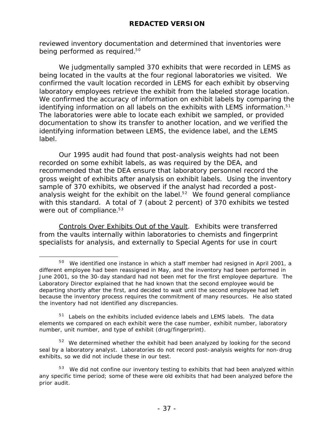reviewed inventory documentation and determined that inventories were being performed as required.<sup>50</sup>

We judgmentally sampled 370 exhibits that were recorded in LEMS as being located in the vaults at the four regional laboratories we visited. We confirmed the vault location recorded in LEMS for each exhibit by observing laboratory employees retrieve the exhibit from the labeled storage location. We confirmed the accuracy of information on exhibit labels by comparing the identifying information on all labels on the exhibits with LEMS information.<sup>51</sup> The laboratories were able to locate each exhibit we sampled, or provided documentation to show its transfer to another location, and we verified the identifying information between LEMS, the evidence label, and the LEMS label.

Our 1995 audit had found that post-analysis weights had not been recorded on some exhibit labels, as was required by the DEA, and recommended that the DEA ensure that laboratory personnel record the gross weight of exhibits after analysis on exhibit labels. Using the inventory sample of 370 exhibits, we observed if the analyst had recorded a postanalysis weight for the exhibit on the label. $52$  We found general compliance with this standard. A total of 7 (about 2 percent) of 370 exhibits we tested were out of compliance. $53$ 

Controls Over Exhibits Out of the Vault. Exhibits were transferred from the vaults internally within laboratories to chemists and fingerprint specialists for analysis, and externally to Special Agents for use in court

 $\overline{a}$  $50$  We identified one instance in which a staff member had resigned in April 2001, a different employee had been reassigned in May, and the inventory had been performed in June 2001, so the 30-day standard had not been met for the first employee departure. The Laboratory Director explained that he had known that the second employee would be departing shortly after the first, and decided to wait until the second employee had left because the inventory process requires the commitment of many resources. He also stated the inventory had not identified any discrepancies.

 $51$  Labels on the exhibits included evidence labels and LEMS labels. The data elements we compared on each exhibit were the case number, exhibit number, laboratory number, unit number, and type of exhibit (drug/fingerprint).

 $52$  We determined whether the exhibit had been analyzed by looking for the second seal by a laboratory analyst. Laboratories do not record post-analysis weights for non-drug exhibits, so we did not include these in our test.

 $53$  We did not confine our inventory testing to exhibits that had been analyzed within any specific time period; some of these were old exhibits that had been analyzed before the prior audit.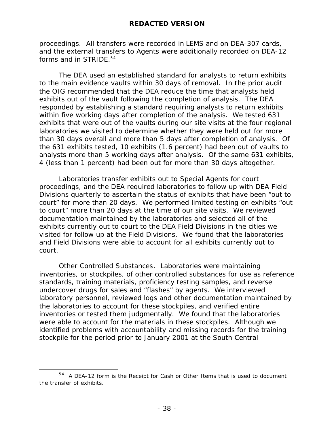proceedings. All transfers were recorded in LEMS and on DEA-307 cards, and the external transfers to Agents were additionally recorded on DEA-12 forms and in STRIDE. $54$ 

The DEA used an established standard for analysts to return exhibits to the main evidence vaults within 30 days of removal. In the prior audit the OIG recommended that the DEA reduce the time that analysts held exhibits out of the vault following the completion of analysis. The DEA responded by establishing a standard requiring analysts to return exhibits within five working days after completion of the analysis. We tested 631 exhibits that were out of the vaults during our site visits at the four regional laboratories we visited to determine whether they were held out for more than 30 days overall and more than 5 days after completion of analysis. Of the 631 exhibits tested, 10 exhibits (1.6 percent) had been out of vaults to analysts more than 5 working days after analysis. Of the same 631 exhibits, 4 (less than 1 percent) had been out for more than 30 days altogether.

Laboratories transfer exhibits out to Special Agents for court proceedings, and the DEA required laboratories to follow up with DEA Field Divisions quarterly to ascertain the status of exhibits that have been "out to court" for more than 20 days. We performed limited testing on exhibits "out to court" more than 20 days at the time of our site visits. We reviewed documentation maintained by the laboratories and selected all of the exhibits currently out to court to the DEA Field Divisions in the cities we visited for follow up at the Field Divisions. We found that the laboratories and Field Divisions were able to account for all exhibits currently out to court.

Other Controlled Substances. Laboratories were maintaining inventories, or stockpiles, of other controlled substances for use as reference standards, training materials, proficiency testing samples, and reverse undercover drugs for sales and "flashes" by agents. We interviewed laboratory personnel, reviewed logs and other documentation maintained by the laboratories to account for these stockpiles, and verified entire inventories or tested them judgmentally. We found that the laboratories were able to account for the materials in these stockpiles. Although we identified problems with accountability and missing records for the training stockpile for the period prior to January 2001 at the South Central

 $\overline{a}$ 

 $54$  A DEA-12 form is the Receipt for Cash or Other Items that is used to document the transfer of exhibits.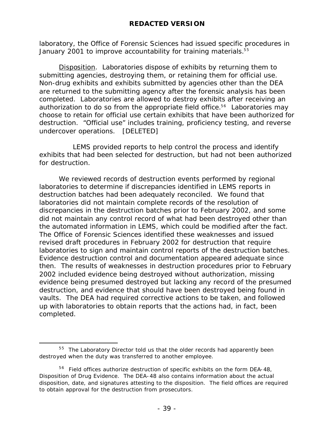laboratory, the Office of Forensic Sciences had issued specific procedures in January 2001 to improve accountability for training materials.<sup>55</sup>

Disposition. Laboratories dispose of exhibits by returning them to submitting agencies, destroying them, or retaining them for official use. Non-drug exhibits and exhibits submitted by agencies other than the DEA are returned to the submitting agency after the forensic analysis has been completed. Laboratories are allowed to destroy exhibits after receiving an authorization to do so from the appropriate field office.<sup>56</sup> Laboratories may choose to retain for official use certain exhibits that have been authorized for destruction. "Official use" includes training, proficiency testing, and reverse undercover operations. [DELETED]

 LEMS provided reports to help control the process and identify exhibits that had been selected for destruction, but had not been authorized for destruction.

We reviewed records of destruction events performed by regional laboratories to determine if discrepancies identified in LEMS reports in destruction batches had been adequately reconciled. We found that laboratories did not maintain complete records of the resolution of discrepancies in the destruction batches prior to February 2002, and some did not maintain any control record of what had been destroyed other than the automated information in LEMS, which could be modified after the fact. The Office of Forensic Sciences identified these weaknesses and issued revised draft procedures in February 2002 for destruction that require laboratories to sign and maintain control reports of the destruction batches. Evidence destruction control and documentation appeared adequate since then. The results of weaknesses in destruction procedures prior to February 2002 included evidence being destroyed without authorization, missing evidence being presumed destroyed but lacking any record of the presumed destruction, and evidence that should have been destroyed being found in vaults. The DEA had required corrective actions to be taken, and followed up with laboratories to obtain reports that the actions had, in fact, been completed.

 $\overline{a}$ 

 $55$  The Laboratory Director told us that the older records had apparently been destroyed when the duty was transferred to another employee.

 $56$  Field offices authorize destruction of specific exhibits on the form DEA-48, Disposition of Drug Evidence. The DEA-48 also contains information about the actual disposition, date, and signatures attesting to the disposition. The field offices are required to obtain approval for the destruction from prosecutors.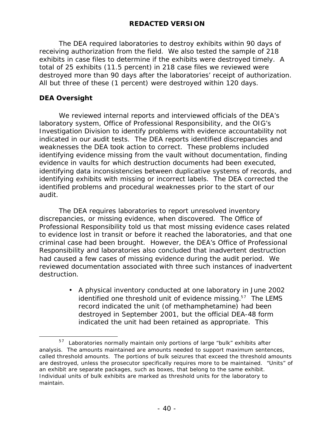The DEA required laboratories to destroy exhibits within 90 days of receiving authorization from the field. We also tested the sample of 218 exhibits in case files to determine if the exhibits were destroyed timely. A total of 25 exhibits (11.5 percent) in 218 case files we reviewed were destroyed more than 90 days after the laboratories' receipt of authorization. All but three of these (1 percent) were destroyed within 120 days.

### **DEA Oversight**

We reviewed internal reports and interviewed officials of the DEA's laboratory system, Office of Professional Responsibility, and the OIG's Investigation Division to identify problems with evidence accountability not indicated in our audit tests. The DEA reports identified discrepancies and weaknesses the DEA took action to correct. These problems included identifying evidence missing from the vault without documentation, finding evidence in vaults for which destruction documents had been executed, identifying data inconsistencies between duplicative systems of records, and identifying exhibits with missing or incorrect labels. The DEA corrected the identified problems and procedural weaknesses prior to the start of our audit.

The DEA requires laboratories to report unresolved inventory discrepancies, or missing evidence, when discovered. The Office of Professional Responsibility told us that most missing evidence cases related to evidence lost in transit or before it reached the laboratories, and that one criminal case had been brought. However, the DEA's Office of Professional Responsibility and laboratories also concluded that inadvertent destruction had caused a few cases of missing evidence during the audit period. We reviewed documentation associated with three such instances of inadvertent destruction.

> • A physical inventory conducted at one laboratory in June 2002 identified one threshold unit of evidence missing. $57$  The LEMS record indicated the unit (of methamphetamine) had been destroyed in September 2001, but the official DEA-48 form indicated the unit had been retained as appropriate. This

 $\overline{a}$  $57$  Laboratories normally maintain only portions of large "bulk" exhibits after analysis. The amounts maintained are amounts needed to support maximum sentences, called threshold amounts. The portions of bulk seizures that exceed the threshold amounts are destroyed, unless the prosecutor specifically requires more to be maintained. "Units" of an exhibit are separate packages, such as boxes, that belong to the same exhibit. Individual units of bulk exhibits are marked as threshold units for the laboratory to maintain.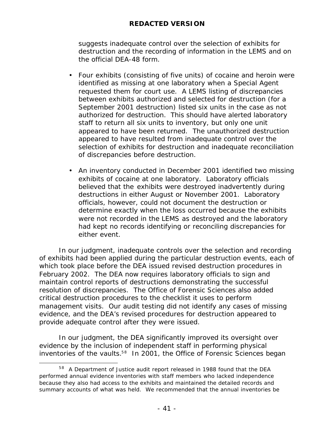suggests inadequate control over the selection of exhibits for destruction and the recording of information in the LEMS and on the official DEA-48 form.

- Four exhibits (consisting of five units) of cocaine and heroin were identified as missing at one laboratory when a Special Agent requested them for court use. A LEMS listing of discrepancies between exhibits authorized and selected for destruction (for a September 2001 destruction) listed six units in the case as not authorized for destruction. This should have alerted laboratory staff to return all six units to inventory, but only one unit appeared to have been returned. The unauthorized destruction appeared to have resulted from inadequate control over the selection of exhibits for destruction and inadequate reconciliation of discrepancies before destruction.
- An inventory conducted in December 2001 identified two missing exhibits of cocaine at one laboratory. Laboratory officials believed that the exhibits were destroyed inadvertently during destructions in either August or November 2001. Laboratory officials, however, could not document the destruction or determine exactly when the loss occurred because the exhibits were not recorded in the LEMS as destroyed and the laboratory had kept no records identifying or reconciling discrepancies for either event.

In our judgment, inadequate controls over the selection and recording of exhibits had been applied during the particular destruction events, each of which took place before the DEA issued revised destruction procedures in February 2002. The DEA now requires laboratory officials to sign and maintain control reports of destructions demonstrating the successful resolution of discrepancies. The Office of Forensic Sciences also added critical destruction procedures to the checklist it uses to perform management visits. Our audit testing did not identify any cases of missing evidence, and the DEA's revised procedures for destruction appeared to provide adequate control after they were issued.

In our judgment, the DEA significantly improved its oversight over evidence by the inclusion of independent staff in performing physical inventories of the vaults.<sup>58</sup> In 2001, the Office of Forensic Sciences began

 $\overline{a}$  $58$  A Department of Justice audit report released in 1988 found that the DEA performed annual evidence inventories with staff members who lacked independence because they also had access to the exhibits and maintained the detailed records and summary accounts of what was held. We recommended that the annual inventories be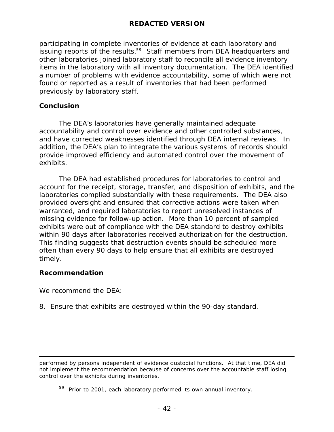participating in complete inventories of evidence at each laboratory and issuing reports of the results.<sup>59</sup> Staff members from DEA headquarters and other laboratories joined laboratory staff to reconcile all evidence inventory items in the laboratory with all inventory documentation. The DEA identified a number of problems with evidence accountability, some of which were not found or reported as a result of inventories that had been performed previously by laboratory staff.

### **Conclusion**

The DEA's laboratories have generally maintained adequate accountability and control over evidence and other controlled substances, and have corrected weaknesses identified through DEA internal reviews. In addition, the DEA's plan to integrate the various systems of records should provide improved efficiency and automated control over the movement of exhibits.

The DEA had established procedures for laboratories to control and account for the receipt, storage, transfer, and disposition of exhibits, and the laboratories complied substantially with these requirements. The DEA also provided oversight and ensured that corrective actions were taken when warranted, and required laboratories to report unresolved instances of missing evidence for follow-up action. More than 10 percent of sampled exhibits were out of compliance with the DEA standard to destroy exhibits within 90 days after laboratories received authorization for the destruction. This finding suggests that destruction events should be scheduled more often than every 90 days to help ensure that all exhibits are destroyed timely.

### **Recommendation**

We recommend the DEA:

8. Ensure that exhibits are destroyed within the 90-day standard.

 $\overline{a}$ performed by persons independent of evidence c ustodial functions. At that time, DEA did not implement the recommendation because of concerns over the accountable staff losing control over the exhibits during inventories.

 $59$  Prior to 2001, each laboratory performed its own annual inventory.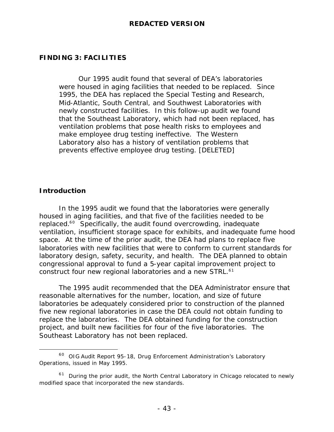### **FINDING 3: FACILITIES**

Our 1995 audit found that several of DEA's laboratories were housed in aging facilities that needed to be replaced. Since 1995, the DEA has replaced the Special Testing and Research, Mid-Atlantic, South Central, and Southwest Laboratories with newly constructed facilities. In this follow-up audit we found that the Southeast Laboratory, which had not been replaced, has ventilation problems that pose health risks to employees and make employee drug testing ineffective. The Western Laboratory also has a history of ventilation problems that prevents effective employee drug testing. [DELETED]

### **Introduction**

 $\overline{a}$ 

In the 1995 audit we found that the laboratories were generally housed in aging facilities, and that five of the facilities needed to be replaced.<sup>60</sup> Specifically, the audit found overcrowding, inadequate ventilation, insufficient storage space for exhibits, and inadequate fume hood space. At the time of the prior audit, the DEA had plans to replace five laboratories with new facilities that were to conform to current standards for laboratory design, safety, security, and health. The DEA planned to obtain congressional approval to fund a 5-year capital improvement project to construct four new regional laboratories and a new STRL.<sup>61</sup>

The 1995 audit recommended that the DEA Administrator ensure that reasonable alternatives for the number, location, and size of future laboratories be adequately considered prior to construction of the planned five new regional laboratories in case the DEA could not obtain funding to replace the laboratories. The DEA obtained funding for the construction project, and built new facilities for four of the five laboratories. The Southeast Laboratory has not been replaced.

<sup>&</sup>lt;sup>60</sup> OIG Audit Report 95-18, *Drug Enforcement Administration's Laboratory Operations*, issued in May 1995.

 $61$  During the prior audit, the North Central Laboratory in Chicago relocated to newly modified space that incorporated the new standards.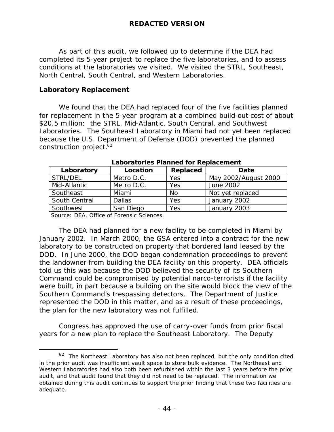As part of this audit, we followed up to determine if the DEA had completed its 5-year project to replace the five laboratories, and to assess conditions at the laboratories we visited. We visited the STRL, Southeast, North Central, South Central, and Western Laboratories.

### **Laboratory Replacement**

We found that the DEA had replaced four of the five facilities planned for replacement in the 5-year program at a combined build-out cost of about \$20.5 million: the STRL, Mid-Atlantic, South Central, and Southwest Laboratories. The Southeast Laboratory in Miami had not yet been replaced because the U.S. Department of Defense (DOD) prevented the planned construction project. $^{62}$ 

| Laboratory                    | Location                            | Replaced  | Date                 |
|-------------------------------|-------------------------------------|-----------|----------------------|
| STRL/DEL                      | Metro D.C.                          | Yes       | May 2002/August 2000 |
| Mid-Atlantic                  | Metro D.C.                          | Yes       | June 2002            |
| Southeast                     | Miami                               | <b>No</b> | Not yet replaced     |
| South Central                 | <b>Dallas</b>                       | Yes       | January 2002         |
| Southwest                     | San Diego                           | Yes       | January 2003         |
| $\sim$ $\sim$ $\sim$<br>$- -$ | $\sim$ $ \sim$ $\sim$ $\sim$ $\sim$ |           |                      |

### *Laboratories Planned for Replacement*

Source: DEA, Office of Forensic Sciences.

 $\overline{a}$ 

The DEA had planned for a new facility to be completed in Miami by January 2002. In March 2000, the GSA entered into a contract for the new laboratory to be constructed on property that bordered land leased by the DOD. In June 2000, the DOD began condemnation proceedings to prevent the landowner from building the DEA facility on this property. DEA officials told us this was because the DOD believed the security of its Southern Command could be compromised by potential narco-terrorists if the facility were built, in part because a building on the site would block the view of the Southern Command's trespassing detectors. The Department of Justice represented the DOD in this matter, and as a result of these proceedings, the plan for the new laboratory was not fulfilled.

Congress has approved the use of carry-over funds from prior fiscal years for a new plan to replace the Southeast Laboratory. The Deputy

 $62$  The Northeast Laboratory has also not been replaced, but the only condition cited in the prior audit was insufficient vault space to store bulk evidence. The Northeast and Western Laboratories had also both been refurbished within the last 3 years before the prior audit, and that audit found that they did not need to be replaced. The information we obtained during this audit continues to support the prior finding that these two facilities are adequate.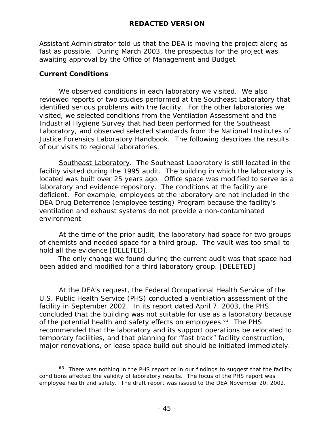Assistant Administrator told us that the DEA is moving the project along as fast as possible. During March 2003, the prospectus for the project was awaiting approval by the Office of Management and Budget.

### **Current Conditions**

We observed conditions in each laboratory we visited. We also reviewed reports of two studies performed at the Southeast Laboratory that identified serious problems with the facility. For the other laboratories we visited, we selected conditions from the Ventilation Assessment and the Industrial Hygiene Survey that had been performed for the Southeast Laboratory, and observed selected standards from the National Institutes of Justice Forensics Laboratory Handbook. The following describes the results of our visits to regional laboratories.

Southeast Laboratory. The Southeast Laboratory is still located in the facility visited during the 1995 audit. The building in which the laboratory is located was built over 25 years ago. Office space was modified to serve as a laboratory and evidence repository. The conditions at the facility are deficient. For example, employees at the laboratory are not included in the DEA Drug Deterrence (employee testing) Program because the facility's ventilation and exhaust systems do not provide a non-contaminated environment.

At the time of the prior audit, the laboratory had space for two groups of chemists and needed space for a third group. The vault was too small to hold all the evidence [DELETED].

 The only change we found during the current audit was that space had been added and modified for a third laboratory group. [DELETED]

At the DEA's request, the Federal Occupational Health Service of the U.S. Public Health Service (PHS) conducted a ventilation assessment of the facility in September 2002. In its report dated April 7, 2003, the PHS concluded that the building was not suitable for use as a laboratory because of the potential health and safety effects on employees.<sup>63</sup> The PHS recommended that the laboratory and its support operations be relocated to temporary facilities, and that planning for "fast track" facility construction, major renovations, or lease space build out should be initiated immediately.

 $\overline{a}$  $63$  There was nothing in the PHS report or in our findings to suggest that the facility conditions affected the validity of laboratory results. The focus of the PHS report was employee health and safety. The draft report was issued to the DEA November 20, 2002.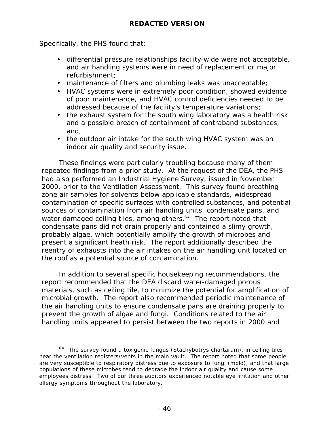Specifically, the PHS found that:

 $\overline{a}$ 

- differential pressure relationships facility-wide were not acceptable, and air handling systems were in need of replacement or major refurbishment;
- maintenance of filters and plumbing leaks was unacceptable;
- HVAC systems were in extremely poor condition, showed evidence of poor maintenance, and HVAC control deficiencies needed to be addressed because of the facility's temperature variations;
- the exhaust system for the south wing laboratory was a health risk and a possible breach of containment of contraband substances; and,
- the outdoor air intake for the south wing HVAC system was an indoor air quality and security issue.

These findings were particularly troubling because many of them repeated findings from a prior study. At the request of the DEA, the PHS had also performed an Industrial Hygiene Survey, issued in November 2000, prior to the Ventilation Assessment. This survey found breathing zone air samples for solvents below applicable standards, widespread contamination of specific surfaces with controlled substances, and potential sources of contamination from air handling units, condensate pans, and water damaged ceiling tiles, among others.<sup>64</sup> The report noted that condensate pans did not drain properly and contained a slimy growth, probably algae, which potentially amplify the growth of microbes and present a significant heath risk. The report additionally described the reentry of exhausts into the air intakes on the air handling unit located on the roof as a potential source of contamination.

In addition to several specific housekeeping recommendations, the report recommended that the DEA discard water-damaged porous materials, such as ceiling tile, to minimize the potential for amplification of microbial growth. The report also recommended periodic maintenance of the air handling units to ensure condensate pans are draining properly to prevent the growth of algae and fungi. Conditions related to the air handling units appeared to persist between the two reports in 2000 and

 $64$  The survey found a toxigenic fungus (Stachybotrys chartarum), in ceiling tiles near the ventilation registers/vents in the main vault. The report noted that some people are very susceptible to respiratory distress due to exposure to fungi (mold), and that large populations of these microbes tend to degrade the indoor air quality and cause some employees distress. Two of our three auditors experienced notable eye irritation and other allergy symptoms throughout the laboratory.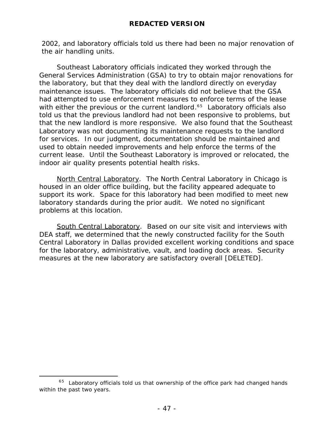2002, and laboratory officials told us there had been no major renovation of the air handling units.

Southeast Laboratory officials indicated they worked through the General Services Administration (GSA) to try to obtain major renovations for the laboratory, but that they deal with the landlord directly on everyday maintenance issues. The laboratory officials did not believe that the GSA had attempted to use enforcement measures to enforce terms of the lease with either the previous or the current landlord.<sup>65</sup> Laboratory officials also told us that the previous landlord had not been responsive to problems, but that the new landlord is more responsive. We also found that the Southeast Laboratory was not documenting its maintenance requests to the landlord for services. In our judgment, documentation should be maintained and used to obtain needed improvements and help enforce the terms of the current lease. Until the Southeast Laboratory is improved or relocated, the indoor air quality presents potential health risks.

North Central Laboratory. The North Central Laboratory in Chicago is housed in an older office building, but the facility appeared adequate to support its work. Space for this laboratory had been modified to meet new laboratory standards during the prior audit. We noted no significant problems at this location.

South Central Laboratory. Based on our site visit and interviews with DEA staff, we determined that the newly constructed facility for the South Central Laboratory in Dallas provided excellent working conditions and space for the laboratory, administrative, vault, and loading dock areas. Security measures at the new laboratory are satisfactory overall [DELETED].

 $\overline{a}$ 

 $65$  Laboratory officials told us that ownership of the office park had changed hands within the past two years.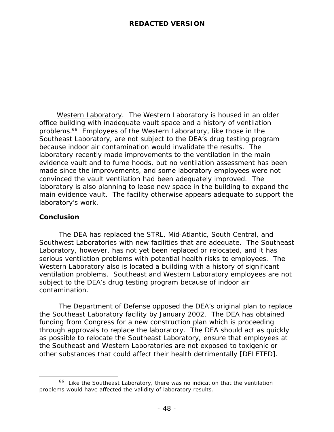Western Laboratory. The Western Laboratory is housed in an older office building with inadequate vault space and a history of ventilation problems.<sup>66</sup> Employees of the Western Laboratory, like those in the Southeast Laboratory, are not subject to the DEA's drug testing program because indoor air contamination would invalidate the results. The laboratory recently made improvements to the ventilation in the main evidence vault and to fume hoods, but no ventilation assessment has been made since the improvements, and some laboratory employees were not convinced the vault ventilation had been adequately improved. The laboratory is also planning to lease new space in the building to expand the main evidence vault. The facility otherwise appears adequate to support the laboratory's work.

### **Conclusion**

 $\overline{a}$ 

The DEA has replaced the STRL, Mid-Atlantic, South Central, and Southwest Laboratories with new facilities that are adequate. The Southeast Laboratory, however, has not yet been replaced or relocated, and it has serious ventilation problems with potential health risks to employees. The Western Laboratory also is located a building with a history of significant ventilation problems. Southeast and Western Laboratory employees are not subject to the DEA's drug testing program because of indoor air contamination.

The Department of Defense opposed the DEA's original plan to replace the Southeast Laboratory facility by January 2002. The DEA has obtained funding from Congress for a new construction plan which is proceeding through approvals to replace the laboratory. The DEA should act as quickly as possible to relocate the Southeast Laboratory, ensure that employees at the Southeast and Western Laboratories are not exposed to toxigenic or other substances that could affect their health detrimentally [DELETED].

 $66$  Like the Southeast Laboratory, there was no indication that the ventilation problems would have affected the validity of laboratory results.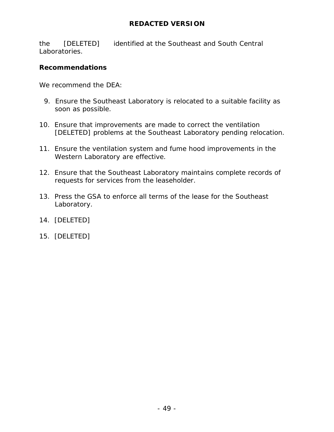the [DELETED] identified at the Southeast and South Central Laboratories.

### **Recommendations**

We recommend the DEA:

- 9. Ensure the Southeast Laboratory is relocated to a suitable facility as soon as possible.
- 10. Ensure that improvements are made to correct the ventilation [DELETED] problems at the Southeast Laboratory pending relocation.
- 11. Ensure the ventilation system and fume hood improvements in the Western Laboratory are effective.
- 12. Ensure that the Southeast Laboratory maintains complete records of requests for services from the leaseholder.
- 13. Press the GSA to enforce all terms of the lease for the Southeast Laboratory.
- 14. [DELETED]
- 15. [DELETED]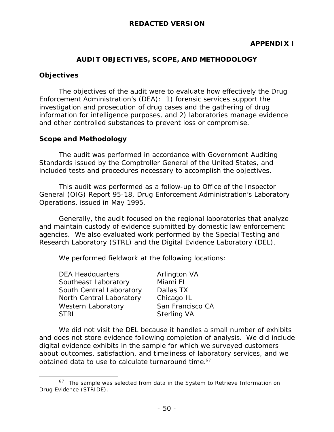### **APPENDIX I**

### **AUDIT OBJECTIVES, SCOPE, AND METHODOLOGY**

### **Objectives**

 $\overline{a}$ 

The objectives of the audit were to evaluate how effectively the Drug Enforcement Administration's (DEA): 1) forensic services support the investigation and prosecution of drug cases and the gathering of drug information for intelligence purposes, and 2) laboratories manage evidence and other controlled substances to prevent loss or compromise.

### **Scope and Methodology**

The audit was performed in accordance with Government Auditing Standards issued by the Comptroller General of the United States, and included tests and procedures necessary to accomplish the objectives.

This audit was performed as a follow-up to Office of the Inspector General (OIG) Report 95-18, *Drug Enforcement Administration's Laboratory Operations,* issued in May 1995.

Generally, the audit focused on the regional laboratories that analyze and maintain custody of evidence submitted by domestic law enforcement agencies. We also evaluated work performed by the Special Testing and Research Laboratory (STRL) and the Digital Evidence Laboratory (DEL).

We performed fieldwork at the following locations:

| San Francisco CA |
|------------------|
|                  |
|                  |

We did not visit the DEL because it handles a small number of exhibits and does not store evidence following completion of analysis. We did include digital evidence exhibits in the sample for which we surveyed customers about outcomes, satisfaction, and timeliness of laboratory services, and we obtained data to use to calculate turnaround time. $67$ 

 $67$  The sample was selected from data in the System to Retrieve Information on Drug Evidence (STRIDE).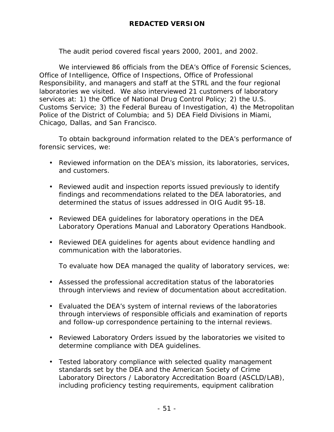The audit period covered fiscal years 2000, 2001, and 2002.

We interviewed 86 officials from the DEA's Office of Forensic Sciences, Office of Intelligence, Office of Inspections, Office of Professional Responsibility, and managers and staff at the STRL and the four regional laboratories we visited. We also interviewed 21 customers of laboratory services at: 1) the Office of National Drug Control Policy; 2) the U.S. Customs Service; 3) the Federal Bureau of Investigation, 4) the Metropolitan Police of the District of Columbia; and 5) DEA Field Divisions in Miami, Chicago, Dallas, and San Francisco.

To obtain background information related to the DEA's performance of forensic services, we:

- Reviewed information on the DEA's mission, its laboratories, services, and customers.
- Reviewed audit and inspection reports issued previously to identify findings and recommendations related to the DEA laboratories, and determined the status of issues addressed in OIG Audit 95-18.
- Reviewed DEA guidelines for laboratory operations in the DEA Laboratory Operations Manual and Laboratory Operations Handbook.
- Reviewed DEA guidelines for agents about evidence handling and communication with the laboratories.

To evaluate how DEA managed the quality of laboratory services, we:

- Assessed the professional accreditation status of the laboratories through interviews and review of documentation about accreditation.
- Evaluated the DEA's system of internal reviews of the laboratories through interviews of responsible officials and examination of reports and follow-up correspondence pertaining to the internal reviews.
- Reviewed Laboratory Orders issued by the laboratories we visited to determine compliance with DEA guidelines.
- Tested laboratory compliance with selected quality management standards set by the DEA and the American Society of Crime Laboratory Directors / Laboratory Accreditation Board (ASCLD/LAB), including proficiency testing requirements, equipment calibration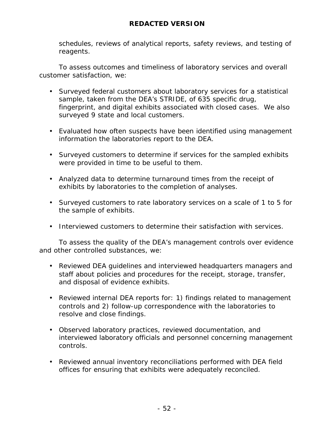schedules, reviews of analytical reports, safety reviews, and testing of reagents.

To assess outcomes and timeliness of laboratory services and overall customer satisfaction, we:

- Surveyed federal customers about laboratory services for a statistical sample, taken from the DEA's STRIDE, of 635 specific drug, fingerprint, and digital exhibits associated with closed cases. We also surveyed 9 state and local customers.
- Evaluated how often suspects have been identified using management information the laboratories report to the DEA.
- Surveyed customers to determine if services for the sampled exhibits were provided in time to be useful to them.
- Analyzed data to determine turnaround times from the receipt of exhibits by laboratories to the completion of analyses.
- Surveyed customers to rate laboratory services on a scale of 1 to 5 for the sample of exhibits.
- Interviewed customers to determine their satisfaction with services.

To assess the quality of the DEA's management controls over evidence and other controlled substances, we:

- Reviewed DEA guidelines and interviewed headquarters managers and staff about policies and procedures for the receipt, storage, transfer, and disposal of evidence exhibits.
- Reviewed internal DEA reports for: 1) findings related to management controls and 2) follow-up correspondence with the laboratories to resolve and close findings.
- Observed laboratory practices, reviewed documentation, and interviewed laboratory officials and personnel concerning management controls.
- Reviewed annual inventory reconciliations performed with DEA field offices for ensuring that exhibits were adequately reconciled.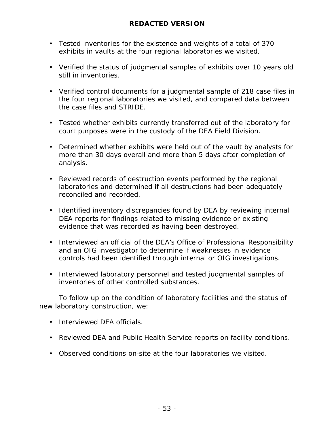- Tested inventories for the existence and weights of a total of 370 exhibits in vaults at the four regional laboratories we visited.
- Verified the status of judgmental samples of exhibits over 10 years old still in inventories.
- Verified control documents for a judgmental sample of 218 case files in the four regional laboratories we visited, and compared data between the case files and STRIDE.
- Tested whether exhibits currently transferred out of the laboratory for court purposes were in the custody of the DEA Field Division.
- Determined whether exhibits were held out of the vault by analysts for more than 30 days overall and more than 5 days after completion of analysis.
- Reviewed records of destruction events performed by the regional laboratories and determined if all destructions had been adequately reconciled and recorded.
- Identified inventory discrepancies found by DEA by reviewing internal DEA reports for findings related to missing evidence or existing evidence that was recorded as having been destroyed.
- Interviewed an official of the DEA's Office of Professional Responsibility and an OIG investigator to determine if weaknesses in evidence controls had been identified through internal or OIG investigations.
- Interviewed laboratory personnel and tested judgmental samples of inventories of other controlled substances.

To follow up on the condition of laboratory facilities and the status of new laboratory construction, we:

- Interviewed DFA officials.
- Reviewed DEA and Public Health Service reports on facility conditions.
- Observed conditions on-site at the four laboratories we visited.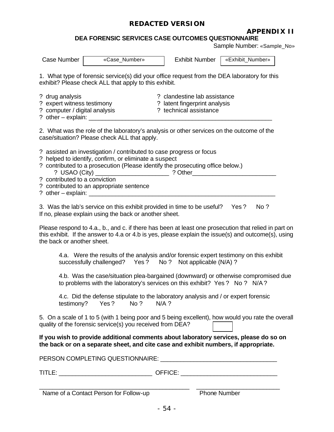### **APPENDIX II**

**DEA FORENSIC SERVICES CASE OUTCOMES QUESTIONNAIRE**

Sample Number: «Sample\_No»

| Case Number                                                                                                       | «Case_Number»                                                                                                                                                                                                                                              | <b>Exhibit Number</b>                                                                                                   | «Exhibit_Number»                                                                                                                                                                                            |
|-------------------------------------------------------------------------------------------------------------------|------------------------------------------------------------------------------------------------------------------------------------------------------------------------------------------------------------------------------------------------------------|-------------------------------------------------------------------------------------------------------------------------|-------------------------------------------------------------------------------------------------------------------------------------------------------------------------------------------------------------|
|                                                                                                                   | 1. What type of forensic service(s) did your office request from the DEA laboratory for this<br>exhibit? Please check ALL that apply to this exhibit.                                                                                                      |                                                                                                                         |                                                                                                                                                                                                             |
| ? drug analysis<br>? expert witness testimony<br>? computer / digital analysis<br>? other $-$ explain: $\sqrt{ }$ |                                                                                                                                                                                                                                                            | ? clandestine lab assistance<br>? latent fingerprint analysis<br>? technical assistance                                 |                                                                                                                                                                                                             |
|                                                                                                                   | 2. What was the role of the laboratory's analysis or other services on the outcome of the<br>case/situation? Please check ALL that apply.                                                                                                                  |                                                                                                                         |                                                                                                                                                                                                             |
| ? USAO (City) $\overline{\phantom{a}}$<br>? contributed to a conviction                                           | ? assisted an investigation / contributed to case progress or focus<br>? helped to identify, confirm, or eliminate a suspect<br>? contributed to a prosecution (Please identify the prosecuting office below.)<br>? contributed to an appropriate sentence | <u>and the set of the set of the set of the set of the set of the set of the set of the set of the set of the set o</u> |                                                                                                                                                                                                             |
|                                                                                                                   | 3. Was the lab's service on this exhibit provided in time to be useful?<br>If no, please explain using the back or another sheet.                                                                                                                          |                                                                                                                         | No?<br>Yes?                                                                                                                                                                                                 |
| the back or another sheet.                                                                                        |                                                                                                                                                                                                                                                            |                                                                                                                         | Please respond to 4.a., b., and c. if there has been at least one prosecution that relied in part on<br>this exhibit. If the answer to 4.a or 4.b is yes, please explain the issue(s) and outcome(s), using |
|                                                                                                                   | 4.a. Were the results of the analysis and/or forensic expert testimony on this exhibit<br>successfully challenged? Yes ? No ? Not applicable (N/A) ?                                                                                                       |                                                                                                                         |                                                                                                                                                                                                             |
|                                                                                                                   | 4.b. Was the case/situation plea-bargained (downward) or otherwise compromised due<br>to problems with the laboratory's services on this exhibit? Yes? No? N/A?                                                                                            |                                                                                                                         |                                                                                                                                                                                                             |
| testimony?                                                                                                        | 4.c. Did the defense stipulate to the laboratory analysis and / or expert forensic<br>Yes?<br>No ?                                                                                                                                                         | $N/A$ ?                                                                                                                 |                                                                                                                                                                                                             |
|                                                                                                                   | quality of the forensic service(s) you received from DEA?                                                                                                                                                                                                  |                                                                                                                         | 5. On a scale of 1 to 5 (with 1 being poor and 5 being excellent), how would you rate the overall                                                                                                           |
|                                                                                                                   | If you wish to provide additional comments about laboratory services, please do so on<br>the back or on a separate sheet, and cite case and exhibit numbers, if appropriate.                                                                               |                                                                                                                         |                                                                                                                                                                                                             |
|                                                                                                                   | PERSON COMPLETING QUESTIONNAIRE: UNIVERSITY AND THE RESONANCE OF PERSON                                                                                                                                                                                    |                                                                                                                         |                                                                                                                                                                                                             |
| $T$ ITLE:                                                                                                         |                                                                                                                                                                                                                                                            |                                                                                                                         |                                                                                                                                                                                                             |

Name of a Contact Person for Follow-up Phone Number

\_\_\_\_\_\_\_\_\_\_\_\_\_\_\_\_\_\_\_\_\_\_\_\_\_\_\_\_\_\_\_\_\_\_\_\_\_\_\_\_\_\_\_\_\_ \_\_\_\_\_\_\_\_\_\_\_\_\_\_\_\_\_\_\_\_\_\_\_\_\_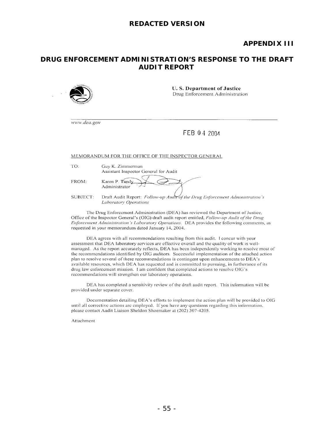### **APPENDIX III**

### **DRUG ENFORCEMENT ADMINISTRATION'S RESPONSE TO THE DRAFT AUDIT REPORT**



**U.S. Department of Justice** Drug Enforcement Administration

www.dea.gov

### FEB 0 4 2004

MEMORANDUM FOR THE OFFICE OF THE INSPECTOR GENERAL

TO:

Guy K. Zimmerman Assistant Inspector General for Audit

FROM:

| Karen P. Tand $\chi$<br>Administrator |  |
|---------------------------------------|--|
|                                       |  |

Draft Audit Report: Follow-up Audit of the Drug Enforcement Administration's SUBJECT: **Laboratory Operations** 

The Drug Enforcement Administration (DEA) has reviewed the Department of Justice, Office of the Inspector General's (OIG) draft audit report entitled, Follow-up Audit of the Drug Enforcement Administration's Laboratory Operations. DEA provides the following comments, as requested in your memorandum dated January 14, 2004.

DEA agrees with all recommendations resulting from this audit. I concur with your assessment that DEA laboratory services are effective overall and the quality of work is wellmanaged. As the report accurately reflects, DEA has been independently working to resolve most of the recommendations identified by OIG auditors. Successful implementation of the attached action plan to resolve several of these recommendations is contingent upon enhancements to DEA's available resources, which DEA has requested and is committed to pursuing, in furtherance of its drug law enforcement mission. I am confident that completed actions to resolve OIG's recommendations will strengthen our laboratory operations.

DEA has completed a sensitivity review of the draft audit report. This information will be provided under separate cover.

Documentation detailing DEA's efforts to implement the action plan will be provided to OIG until all corrective actions are employed. If you have any questions regarding this information, please contact Audit Liaison Sheldon Shoemaker at (202) 307-4205.

Attachment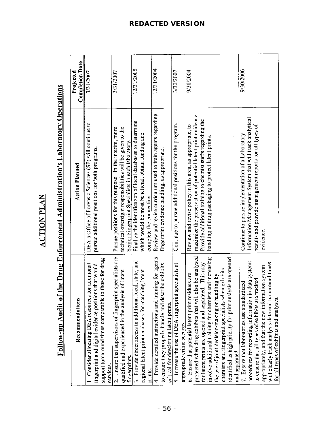| ļ |
|---|
| ţ |
|   |
|   |
| Į |
|   |
|   |

# Follow-up Audit of the Drug Enforcement Administration's Laboratory Operations

| Recommendations                                                                                                                                                                                                                                                                                                                                                                                                          | <b>Action Planned</b>                                                                                                                                                                                                                             | <b>Completion Date</b><br>Projected |
|--------------------------------------------------------------------------------------------------------------------------------------------------------------------------------------------------------------------------------------------------------------------------------------------------------------------------------------------------------------------------------------------------------------------------|---------------------------------------------------------------------------------------------------------------------------------------------------------------------------------------------------------------------------------------------------|-------------------------------------|
| support turnaround times comparable to those for drug<br>Consider allocating DEA resources for additional<br>fingerprint and digital evidence positions that would<br>services.                                                                                                                                                                                                                                          | DEA's Office of Forensic Sciences (SF) will continue to<br>pursue additional positions for both programs.                                                                                                                                         | 3/31/2007                           |
| 2. Ensure that supervisors of fingerprint specialists are<br>qualified and experienced in the analysis of latent<br>fingerprints.                                                                                                                                                                                                                                                                                        | technical oversight responsibilities will be given to the<br>Pursue positions for this purpose. In the interim, more<br>Senior Fingerprint Specialists in each laboratory.                                                                        | 3/31/2007                           |
| local, state, and<br>regional latent print databases for matching latent<br>3. Provide direct access to additional<br>prints.                                                                                                                                                                                                                                                                                            | Finalize the identification of local databases to determine<br>which would be most beneficial, obtain funding and<br>complete the connection.                                                                                                     | 12/31/2005                          |
| 4. Provide detailed instructions and training for agents<br>to ensure they properly handle and describe exhibits<br>critical for developing latent prints.                                                                                                                                                                                                                                                               | Review and revise curriculum used to train agents regarding<br>fingerprint evidence handling, as appropriate.                                                                                                                                     | 12/31/2004                          |
| 5. Increase the use of DEA fingerprint specialists at<br>appropriate crime scences.                                                                                                                                                                                                                                                                                                                                      | Continue to pursue additional positions for the program.                                                                                                                                                                                          | 3/30/2007                           |
| protected when drug exhibits that will also be analyzed<br>involve additional training for chemists and increasing<br>identified as high priority for print analysis are opened<br>for latent prints are opened and separated. This may<br>chemists and fingerprint specialists when exhibits<br>6. Ensure that potential latent print residues are<br>the use of joint decision-making or handling by<br>and separated. | maximize the preservation of potential latent print evidence.<br>Provide additional training to chemist staffs regarding the<br>Review and revise policy in this area, as appropriate, to<br>handling of drug packaging to protect latent prints. | 9/30/2004                           |
| procedures for recording information in data systems<br>will clearly track analysis data and turnaround times<br>appropriately, and that the new information system<br>to ensure that all types of exhibits are tracked<br>7. Ensure that laboratories use standardized<br>for all types of exhibits and analyses.                                                                                                       | Information Management System that will track analytical<br>results and provide management reports for all types of<br>Continue to pursue implementation of a Laboratory<br>evidence.                                                             | 9/30/2006                           |

### **REDACTED VERSION**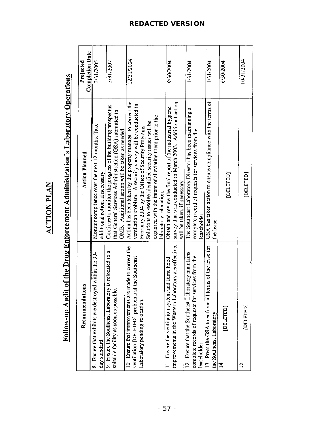| í |
|---|
|   |
|   |
|   |

## Follow-up Audit of the Drug Enforcement Administration's Laboratory Operations

| á<br>Recommendation                                                                                                                                 | <b>Action Planned</b>                                                                                                                                                                                                                                                                                                              | <b>Completion Date</b><br>Projected |
|-----------------------------------------------------------------------------------------------------------------------------------------------------|------------------------------------------------------------------------------------------------------------------------------------------------------------------------------------------------------------------------------------------------------------------------------------------------------------------------------------|-------------------------------------|
| 8. Ensure that exhibits are destroyed within the 90-<br>day standard.                                                                               | Monitor compliance over the next 12 months. Take<br>additional action, if necessary.                                                                                                                                                                                                                                               | 3/31/2005                           |
| 9. Ensure the Southeast Laboratory is relocated to a<br>suitable facility as soon as possible.                                                      | Continue to monitor the progress of the building prospectus<br>that General Services Administration (GSA) submitted to<br>OMB. Additional action will be taken as needed.                                                                                                                                                          | 3/31/2007                           |
| nade to correct the<br>t the Southeast<br>ventilation [DELETED] problems at<br>10. Ensure that improvements are a<br>Laboratory pending relocation. | Action has been taken by the property manager to correct the<br>ventilation problem. A security survey will be conducted in<br>explored with the intent of alleviating them prior to the<br>Solutions to resolve identified security issues will be<br>February 2004 by the Office of Security Programs.<br>laboratory relocation. | 12/31/2004                          |
| improvements in the Western Laboratory are effective.<br>11. Ensure the ventilation system and fume hood                                            | survey that was conducted in March 2003. Additional action<br>Obtain and review the final report of the industrial hygiene<br>will be taken, if necessary.                                                                                                                                                                         | 9/30/2004                           |
| ratory maintains<br>complete records of requests for services from the<br>12. Ensure that the Southeast Labor<br>leaseholder.                       | The Southeast Laboratory Director has been maintaining a<br>complete record of requests for services from the<br>leaseholder.                                                                                                                                                                                                      | 1/31/2004                           |
| 13. Press the GSA to enforce all terms of the lease for<br>the Southeast Laboratory.                                                                | GSA has taken action to ensure compliance with the terms of<br>the lease.                                                                                                                                                                                                                                                          | 1/31/2004                           |
| [DELETED]<br>⋣                                                                                                                                      | [DELETED]                                                                                                                                                                                                                                                                                                                          | 6/30/2004                           |
| [DELETED]<br>$\overline{C}$                                                                                                                         | [DELETED]                                                                                                                                                                                                                                                                                                                          | 10/31/2004                          |

### **REDACTED VERSION**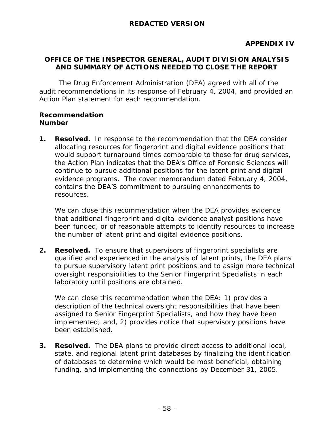### **OFFICE OF THE INSPECTOR GENERAL, AUDIT DIVISION ANALYSIS AND SUMMARY OF ACTIONS NEEDED TO CLOSE THE REPORT**

The Drug Enforcement Administration (DEA) agreed with all of the audit recommendations in its response of February 4, 2004, and provided an Action Plan statement for each recommendation.

### **Recommendation Number**

**1. Resolved.** In response to the recommendation that the DEA consider allocating resources for fingerprint and digital evidence positions that would support turnaround times comparable to those for drug services, the Action Plan indicates that the DEA's Office of Forensic Sciences will continue to pursue additional positions for the latent print and digital evidence programs. The cover memorandum dated February 4, 2004, contains the DEA'S commitment to pursuing enhancements to resources.

We can close this recommendation when the DEA provides evidence that additional fingerprint and digital evidence analyst positions have been funded, or of reasonable attempts to identify resources to increase the number of latent print and digital evidence positions.

**2. Resolved.** To ensure that supervisors of fingerprint specialists are qualified and experienced in the analysis of latent prints, the DEA plans to pursue supervisory latent print positions and to assign more technical oversight responsibilities to the Senior Fingerprint Specialists in each laboratory until positions are obtained.

We can close this recommendation when the DEA: 1) provides a description of the technical oversight responsibilities that have been assigned to Senior Fingerprint Specialists, and how they have been implemented; and, 2) provides notice that supervisory positions have been established.

**3. Resolved.** The DEA plans to provide direct access to additional local, state, and regional latent print databases by finalizing the identification of databases to determine which would be most beneficial, obtaining funding, and implementing the connections by December 31, 2005.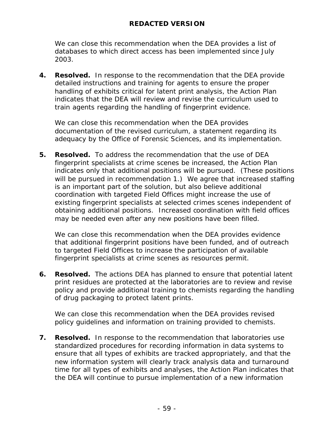We can close this recommendation when the DEA provides a list of databases to which direct access has been implemented since July 2003.

**4. Resolved.** In response to the recommendation that the DEA provide detailed instructions and training for agents to ensure the proper handling of exhibits critical for latent print analysis, the Action Plan indicates that the DEA will review and revise the curriculum used to train agents regarding the handling of fingerprint evidence.

We can close this recommendation when the DEA provides documentation of the revised curriculum, a statement regarding its adequacy by the Office of Forensic Sciences, and its implementation.

**5. Resolved.** To address the recommendation that the use of DEA fingerprint specialists at crime scenes be increased, the Action Plan indicates only that additional positions will be pursued. (These positions will be pursued in recommendation 1.) We agree that increased staffing is an important part of the solution, but also believe additional coordination with targeted Field Offices might increase the use of existing fingerprint specialists at selected crimes scenes independent of obtaining additional positions. Increased coordination with field offices may be needed even after any new positions have been filled.

We can close this recommendation when the DEA provides evidence that additional fingerprint positions have been funded, and of outreach to targeted Field Offices to increase the participation of available fingerprint specialists at crime scenes as resources permit.

**6. Resolved.** The actions DEA has planned to ensure that potential latent print residues are protected at the laboratories are to review and revise policy and provide additional training to chemists regarding the handling of drug packaging to protect latent prints.

We can close this recommendation when the DEA provides revised policy guidelines and information on training provided to chemists.

**7. Resolved.** In response to the recommendation that laboratories use standardized procedures for recording information in data systems to ensure that all types of exhibits are tracked appropriately, and that the new information system will clearly track analysis data and turnaround time for all types of exhibits and analyses, the Action Plan indicates that the DEA will continue to pursue implementation of a new information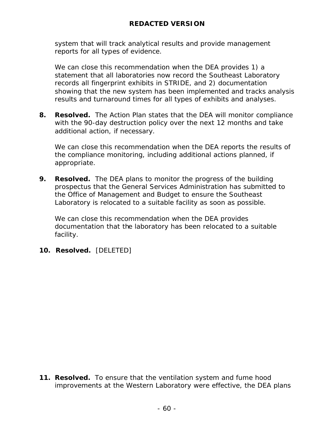system that will track analytical results and provide management reports for all types of evidence.

We can close this recommendation when the DEA provides 1) a statement that all laboratories now record the Southeast Laboratory records all fingerprint exhibits in STRIDE, and 2) documentation showing that the new system has been implemented and tracks analysis results and turnaround times for all types of exhibits and analyses.

**8. Resolved.** The Action Plan states that the DEA will monitor compliance with the 90-day destruction policy over the next 12 months and take additional action, if necessary.

We can close this recommendation when the DEA reports the results of the compliance monitoring, including additional actions planned, if appropriate.

**9. Resolved.** The DEA plans to monitor the progress of the building prospectus that the General Services Administration has submitted to the Office of Management and Budget to ensure the Southeast Laboratory is relocated to a suitable facility as soon as possible.

We can close this recommendation when the DEA provides documentation that the laboratory has been relocated to a suitable facility.

**10. Resolved.** [DELETED]

**11. Resolved.** To ensure that the ventilation system and fume hood improvements at the Western Laboratory were effective, the DEA plans